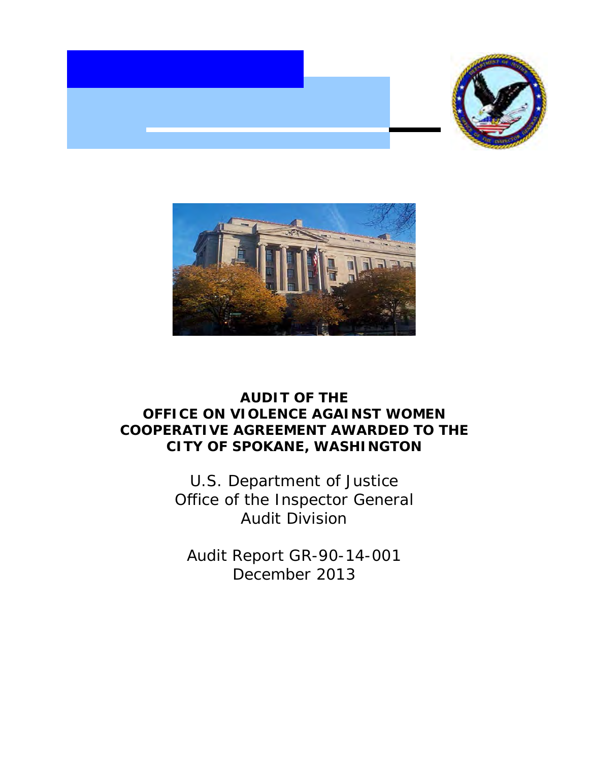



# **AUDIT OF THE OFFICE ON VIOLENCE AGAINST WOMEN COOPERATIVE AGREEMENT AWARDED TO THE CITY OF SPOKANE, WASHINGTON**

 Office of the Inspector General U.S. Department of Justice Audit Division

 Audit Report GR-90-14-001 December 2013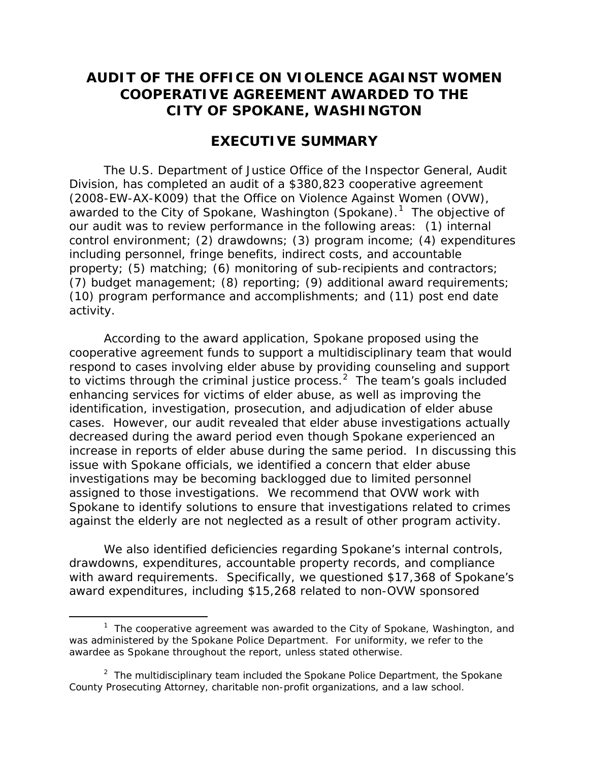## **AUDIT OF THE OFFICE ON VIOLENCE AGAINST WOMEN COOPERATIVE AGREEMENT AWARDED TO THE CITY OF SPOKANE, WASHINGTON**

## **EXECUTIVE SUMMARY**

awarded to the City of Spokane, Washington (Spokane).<sup>1</sup> The objective of The U.S. Department of Justice Office of the Inspector General, Audit Division, has completed an audit of a \$380,823 cooperative agreement (2008-EW-AX-K009) that the Office on Violence Against Women (OVW), our audit was to review performance in the following areas: (1) internal control environment; (2) drawdowns; (3) program income; (4) expenditures including personnel, fringe benefits, indirect costs, and accountable property; (5) matching; (6) monitoring of sub-recipients and contractors; (7) budget management; (8) reporting; (9) additional award requirements; (10) program performance and accomplishments; and (11) post end date activity.

to victims through the criminal justice process. $2$  The team's goals included cases. However, our audit revealed that elder abuse investigations actually increase in reports of elder abuse during the same period. In discussing this Spokane to identify solutions to ensure that investigations related to crimes According to the award application, Spokane proposed using the cooperative agreement funds to support a multidisciplinary team that would respond to cases involving elder abuse by providing counseling and support enhancing services for victims of elder abuse, as well as improving the identification, investigation, prosecution, and adjudication of elder abuse decreased during the award period even though Spokane experienced an issue with Spokane officials, we identified a concern that elder abuse investigations may be becoming backlogged due to limited personnel assigned to those investigations. We recommend that OVW work with against the elderly are not neglected as a result of other program activity.

 with award requirements. Specifically, we questioned \$17,368 of Spokane's We also identified deficiencies regarding Spokane's internal controls, drawdowns, expenditures, accountable property records, and compliance award expenditures, including \$15,268 related to non-OVW sponsored

-

<span id="page-1-0"></span> $1$  The cooperative agreement was awarded to the City of Spokane, Washington, and was administered by the Spokane Police Department. For uniformity, we refer to the awardee as Spokane throughout the report, unless stated otherwise.

<span id="page-1-1"></span> County Prosecuting Attorney, charitable non-profit organizations, and a law school. <sup>2</sup> The multidisciplinary team included the Spokane Police Department, the Spokane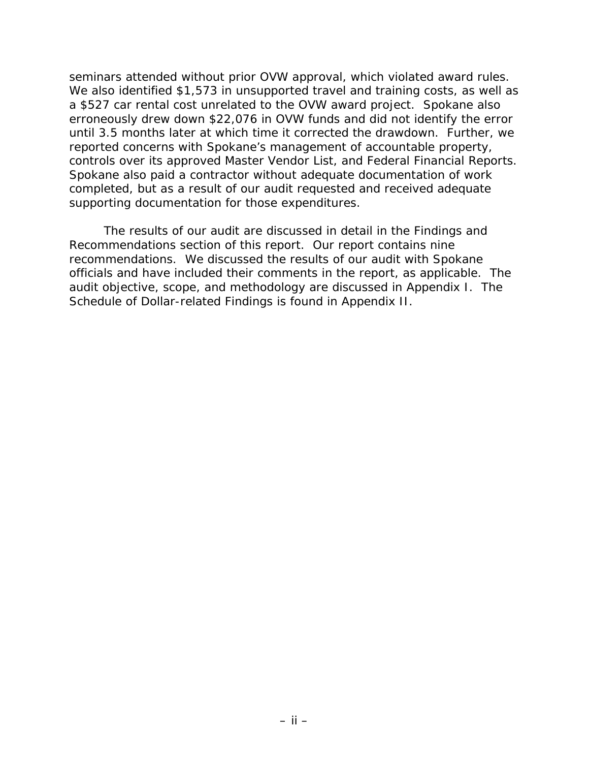seminars attended without prior OVW approval, which violated award rules. a \$527 car rental cost unrelated to the OVW award project. Spokane also until 3.5 months later at which time it corrected the drawdown. Further, we supporting documentation for those expenditures. We also identified \$1,573 in unsupported travel and training costs, as well as erroneously drew down \$22,076 in OVW funds and did not identify the error reported concerns with Spokane's management of accountable property, controls over its approved Master Vendor List, and Federal Financial Reports. Spokane also paid a contractor without adequate documentation of work completed, but as a result of our audit requested and received adequate

 Recommendations section of this report. Our report contains nine audit objective, scope, and methodology are discussed in Appendix I. The Schedule of Dollar-related Findings is found in Appendix II. The results of our audit are discussed in detail in the Findings and recommendations. We discussed the results of our audit with Spokane officials and have included their comments in the report, as applicable. The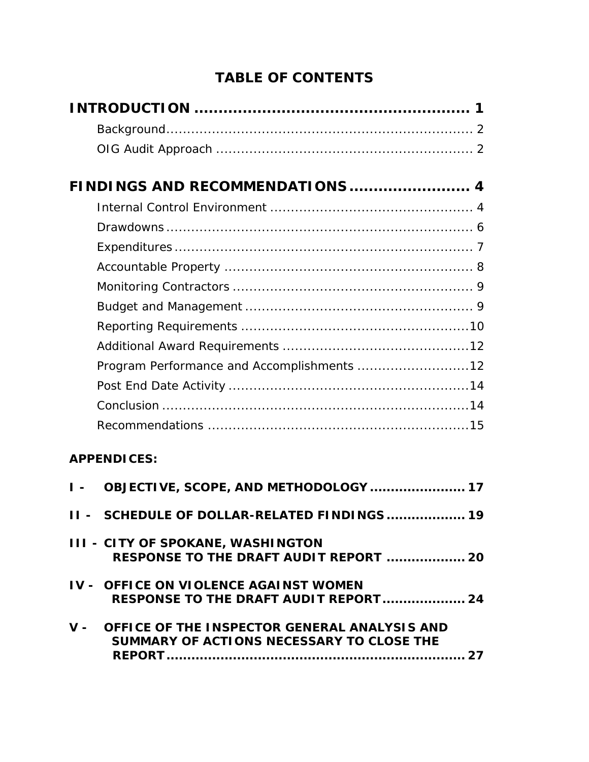# **TABLE OF CONTENTS**

|     | FINDINGS AND RECOMMENDATIONS 4                                                                |
|-----|-----------------------------------------------------------------------------------------------|
|     |                                                                                               |
|     |                                                                                               |
|     |                                                                                               |
|     |                                                                                               |
|     |                                                                                               |
|     |                                                                                               |
|     |                                                                                               |
|     |                                                                                               |
|     | Program Performance and Accomplishments 12                                                    |
|     |                                                                                               |
|     |                                                                                               |
|     |                                                                                               |
|     | <b>APPENDICES:</b>                                                                            |
| I – | OBJECTIVE, SCOPE, AND METHODOLOGY  17                                                         |
|     | II - SCHEDULE OF DOLLAR-RELATED FINDINGS  19                                                  |
|     | <b>III - CITY OF SPOKANE, WASHINGTON</b><br>RESPONSE TO THE DRAFT AUDIT REPORT  20            |
|     | <b>IV - OFFICE ON VIOLENCE AGAINST WOMEN</b><br>RESPONSE TO THE DRAFT AUDIT REPORT 24         |
|     | V - OFFICE OF THE INSPECTOR GENERAL ANALYSIS AND<br>SUMMARY OF ACTIONS NECESSARY TO CLOSE THE |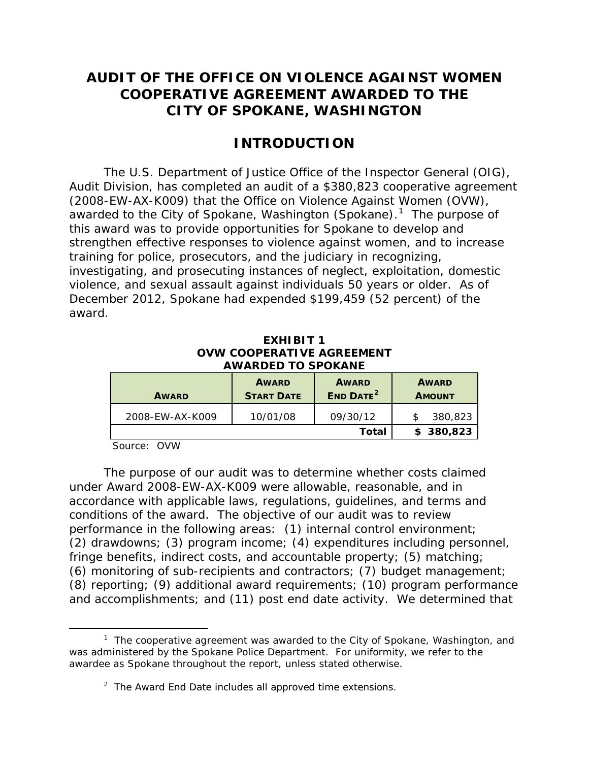# **AUDIT OF THE OFFICE ON VIOLENCE AGAINST WOMEN COOPERATIVE AGREEMENT AWARDED TO THE CITY OF SPOKANE, WASHINGTON**

## **INTRODUCTION**

awarded to the City of Spokane, Washington (Spokane).<sup>1</sup> The purpose of strengthen effective responses to violence against women, and to increase training for police, prosecutors, and the judiciary in recognizing, violence, and sexual assault against individuals 50 years or older. As of The U.S. Department of Justice Office of the Inspector General (OIG), Audit Division, has completed an audit of a \$380,823 cooperative agreement (2008-EW-AX-K009) that the Office on Violence Against Women (OVW), this award was to provide opportunities for Spokane to develop and investigating, and prosecuting instances of neglect, exploitation, domestic December 2012, Spokane had expended \$199,459 (52 percent) of the award.

| EXHIBIT <sub>1</sub>      |
|---------------------------|
| OVW COOPERATIVE AGREEMENT |
| <b>AWARDED TO SPOKANE</b> |

| <b>AWARD</b>    | <b>AWARD</b><br><b>START DATE</b> | <b>AWARD</b><br><b>END DATE<sup>2</sup></b> | <b>AWARD</b><br><b>AMOUNT</b> |  |
|-----------------|-----------------------------------|---------------------------------------------|-------------------------------|--|
| 2008-EW-AX-K009 | 10/01/08                          | 09/30/12                                    | 380.823                       |  |
|                 |                                   | Total                                       | \$380,823                     |  |

Source: OVW

 under Award 2008-EW-AX-K009 were allowable, reasonable, and in performance in the following areas: (1) internal control environment; The purpose of our audit was to determine whether costs claimed accordance with applicable laws, regulations, guidelines, and terms and conditions of the award. The objective of our audit was to review (2) drawdowns; (3) program income; (4) expenditures including personnel, fringe benefits, indirect costs, and accountable property; (5) matching; (6) monitoring of sub-recipients and contractors; (7) budget management; (8) reporting; (9) additional award requirements; (10) program performance and accomplishments; and (11) post end date activity. We determined that

<span id="page-4-1"></span><span id="page-4-0"></span>l  $1$  The cooperative agreement was awarded to the City of Spokane, Washington, and was administered by the Spokane Police Department. For uniformity, we refer to the awardee as Spokane throughout the report, unless stated otherwise.

 $2$  The Award End Date includes all approved time extensions.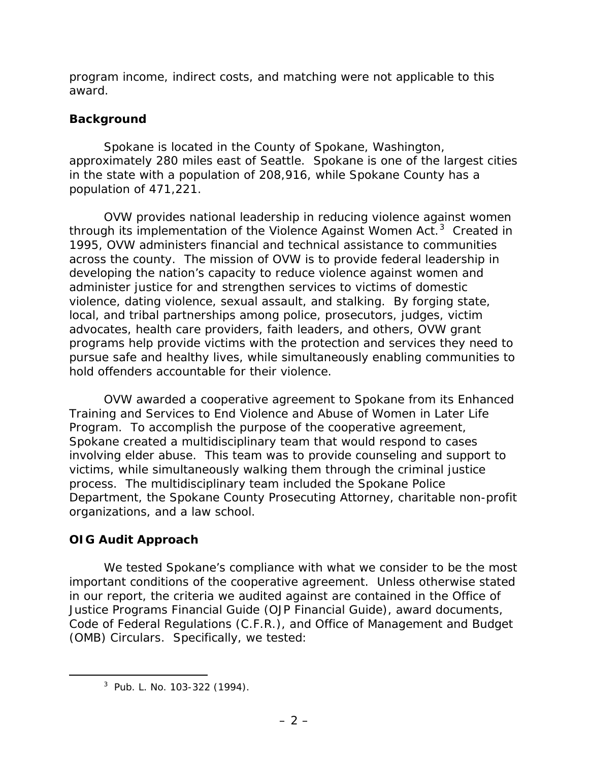program income, indirect costs, and matching were not applicable to this award.

## **Background**

 Spokane is located in the County of Spokane, Washington, approximately 280 miles east of Seattle. Spokane is one of the largest cities in the state with a population of 208,916, while Spokane County has a population of 471,221.

through its implementation of the Violence Against Women Act.<sup>[3](#page-5-0)</sup> Created in across the county. The mission of OVW is to provide federal leadership in OVW provides national leadership in reducing violence against women 1995, OVW administers financial and technical assistance to communities developing the nation's capacity to reduce violence against women and administer justice for and strengthen services to victims of domestic violence, dating violence, sexual assault, and stalking. By forging state, local, and tribal partnerships among police, prosecutors, judges, victim advocates, health care providers, faith leaders, and others, OVW grant programs help provide victims with the protection and services they need to pursue safe and healthy lives, while simultaneously enabling communities to hold offenders accountable for their violence.

 involving elder abuse. This team was to provide counseling and support to process. The multidisciplinary team included the Spokane Police OVW awarded a cooperative agreement to Spokane from its Enhanced Training and Services to End Violence and Abuse of Women in Later Life Program. To accomplish the purpose of the cooperative agreement, Spokane created a multidisciplinary team that would respond to cases victims, while simultaneously walking them through the criminal justice Department, the Spokane County Prosecuting Attorney, charitable non-profit organizations, and a law school.

## **OIG Audit Approach**

<span id="page-5-0"></span> $\overline{a}$ 

 important conditions of the cooperative agreement. Unless otherwise stated in our report, the criteria we audited against are contained in the Office of We tested Spokane's compliance with what we consider to be the most Justice Programs Financial Guide *(OJP Financial Guide)*, award documents, Code of Federal Regulations (C.F.R.), and Office of Management and Budget (OMB) Circulars. Specifically, we tested:

<sup>3</sup> Pub. L. No. 103-322 (1994).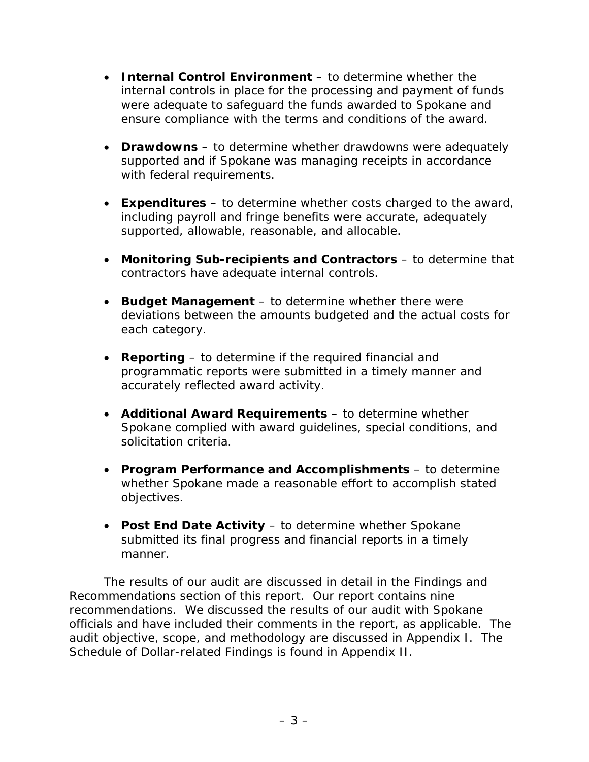- • **Internal Control Environment**  to determine whether the internal controls in place for the processing and payment of funds were adequate to safeguard the funds awarded to Spokane and ensure compliance with the terms and conditions of the award.
- **Drawdowns** to determine whether drawdowns were adequately supported and if Spokane was managing receipts in accordance with federal requirements.
- • **Expenditures**  to determine whether costs charged to the award, including payroll and fringe benefits were accurate, adequately supported, allowable, reasonable, and allocable.
- • **Monitoring Sub-recipients and Contractors**  to determine that contractors have adequate internal controls.
- **Budget Management** to determine whether there were deviations between the amounts budgeted and the actual costs for each category.
- • **Reporting**  to determine if the required financial and accurately reflected award activity. programmatic reports were submitted in a timely manner and
- • **Additional Award Requirements**  to determine whether Spokane complied with award guidelines, special conditions, and solicitation criteria.
- • **Program Performance and Accomplishments**  to determine whether Spokane made a reasonable effort to accomplish stated objectives.
- • **Post End Date Activit***y*  to determine whether Spokane submitted its final progress and financial reports in a timely manner.

 Recommendations section of this report. Our report contains nine officials and have included their comments in the report, as applicable. The audit objective, scope, and methodology are discussed in Appendix I. The Schedule of Dollar-related Findings is found in Appendix II. The results of our audit are discussed in detail in the Findings and recommendations. We discussed the results of our audit with Spokane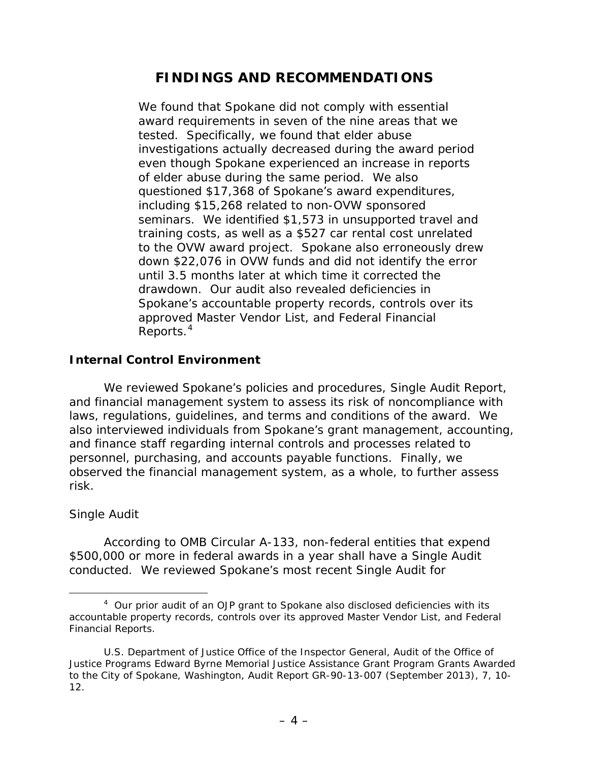# **FINDINGS AND RECOMMENDATIONS**

 of elder abuse during the same period. We also down \$22,076 in OVW funds and did not identify the error We found that Spokane did not comply with essential award requirements in seven of the nine areas that we tested. Specifically, we found that elder abuse investigations actually decreased during the award period even though Spokane experienced an increase in reports questioned \$17,368 of Spokane's award expenditures, including \$15,268 related to non-OVW sponsored seminars. We identified \$1,573 in unsupported travel and training costs, as well as a \$527 car rental cost unrelated to the OVW award project. Spokane also erroneously drew until 3.5 months later at which time it corrected the drawdown. Our audit also revealed deficiencies in Spokane's accountable property records, controls over its approved Master Vendor List, and Federal Financial Reports.<sup>[4](#page-7-0)</sup>

## **Internal Control Environment**

 laws, regulations, guidelines, and terms and conditions of the award. We We reviewed Spokane's policies and procedures, Single Audit Report, and financial management system to assess its risk of noncompliance with also interviewed individuals from Spokane's grant management, accounting, and finance staff regarding internal controls and processes related to personnel, purchasing, and accounts payable functions. Finally, we observed the financial management system, as a whole, to further assess risk.

## *Single Audit*

 $\overline{a}$ 

 conducted. We reviewed Spokane's most recent Single Audit for According to OMB Circular A-133, non-federal entities that expend \$500,000 or more in federal awards in a year shall have a Single Audit

<span id="page-7-0"></span> $4$  Our prior audit of an OJP grant to Spokane also disclosed deficiencies with its accountable property records, controls over its approved Master Vendor List, and Federal Financial Reports.

 Financial Reports. U.S. Department of Justice Office of the Inspector General, *Audit of the Office of Justice Programs Edward Byrne Memorial Justice Assistance Grant Program Grants Awarded to the City of Spokane, Washington*, Audit Report GR-90-13-007 (September 2013), 7, 10 12.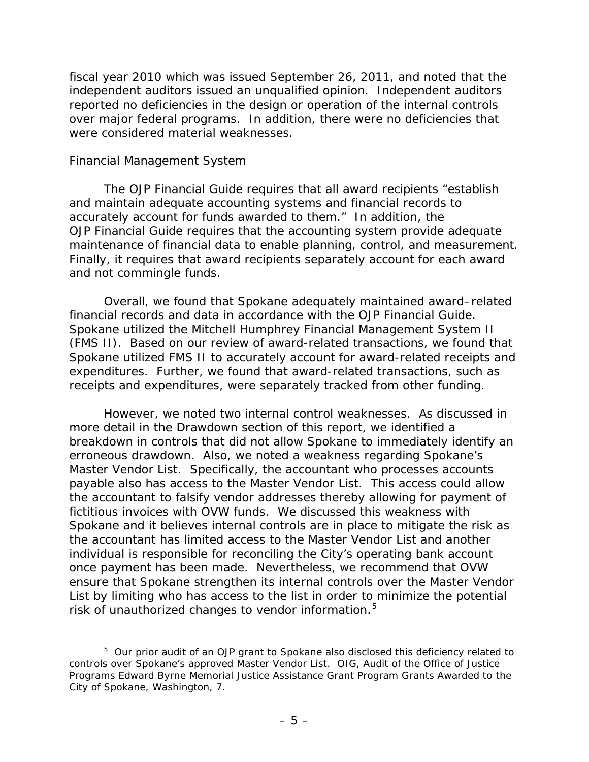fiscal year 2010 which was issued September 26, 2011, and noted that the independent auditors issued an unqualified opinion. Independent auditors over major federal programs. In addition, there were no deficiencies that reported no deficiencies in the design or operation of the internal controls were considered material weaknesses.

### *Financial Management System*

 $\overline{a}$ 

 accurately account for funds awarded to them." In addition, the maintenance of financial data to enable planning, control, and measurement. The *OJP Financial Guide* requires that all award recipients "establish and maintain adequate accounting systems and financial records to *OJP Financial Guide* requires that the accounting system provide adequate Finally, it requires that award recipients separately account for each award and not commingle funds.

 (FMS II). Based on our review of award-related transactions, we found that Spokane utilized FMS II to accurately account for award-related receipts and expenditures. Further, we found that award-related transactions, such as Overall, we found that Spokane adequately maintained award–related financial records and data in accordance with the *OJP Financial Guide.*  Spokane utilized the Mitchell Humphrey Financial Management System II receipts and expenditures, were separately tracked from other funding.

 more detail in the Drawdown section of this report, we identified a the accountant to falsify vendor addresses thereby allowing for payment of However, we noted two internal control weaknesses. As discussed in breakdown in controls that did not allow Spokane to immediately identify an erroneous drawdown. Also, we noted a weakness regarding Spokane's Master Vendor List. Specifically, the accountant who processes accounts payable also has access to the Master Vendor List. This access could allow fictitious invoices with OVW funds. We discussed this weakness with Spokane and it believes internal controls are in place to mitigate the risk as the accountant has limited access to the Master Vendor List and another individual is responsible for reconciling the City's operating bank account once payment has been made. Nevertheless, we recommend that OVW ensure that Spokane strengthen its internal controls over the Master Vendor List by limiting who has access to the list in order to minimize the potential risk of unauthorized changes to vendor information.[5](#page-8-0) 

<span id="page-8-0"></span> $5$  Our prior audit of an OJP grant to Spokane also disclosed this deficiency related to controls over Spokane's approved Master Vendor List. OIG, *Audit of the Office of Justice Programs Edward Byrne Memorial Justice Assistance Grant Program Grants Awarded to the City of Spokane, Washington*, 7.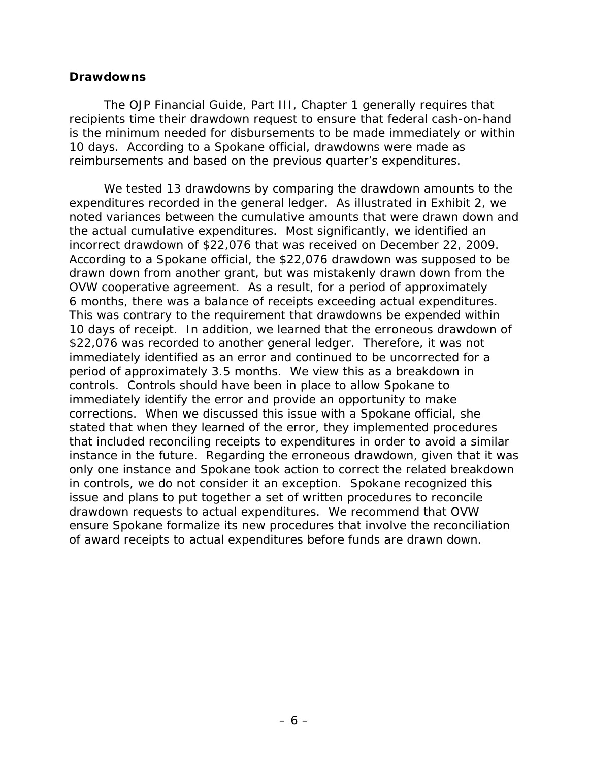### **Drawdowns**

 The *OJP Financial Guide*, Part III, Chapter 1 generally requires that is the minimum needed for disbursements to be made immediately or within 10 days. According to a Spokane official, drawdowns were made as recipients time their drawdown request to ensure that federal cash-on-hand reimbursements and based on the previous quarter's expenditures.

 We tested 13 drawdowns by comparing the drawdown amounts to the incorrect drawdown of \$22,076 that was received on December 22, 2009. incorrect drawdown of \$22,076 that was received on December 22, 2009.<br>According to a Spokane official, the \$22,076 drawdown was supposed to be 6 months, there was a balance of receipts exceeding actual expenditures. corrections. When we discussed this issue with a Spokane official, she drawdown requests to actual expenditures. We recommend that OVW expenditures recorded in the general ledger. As illustrated in Exhibit 2, we noted variances between the cumulative amounts that were drawn down and the actual cumulative expenditures. Most significantly, we identified an drawn down from another grant, but was mistakenly drawn down from the OVW cooperative agreement. As a result, for a period of approximately This was contrary to the requirement that drawdowns be expended within 10 days of receipt. In addition, we learned that the erroneous drawdown of \$22,076 was recorded to another general ledger. Therefore, it was not immediately identified as an error and continued to be uncorrected for a period of approximately 3.5 months. We view this as a breakdown in controls. Controls should have been in place to allow Spokane to immediately identify the error and provide an opportunity to make stated that when they learned of the error, they implemented procedures that included reconciling receipts to expenditures in order to avoid a similar instance in the future. Regarding the erroneous drawdown, given that it was only one instance and Spokane took action to correct the related breakdown in controls, we do not consider it an exception. Spokane recognized this issue and plans to put together a set of written procedures to reconcile ensure Spokane formalize its new procedures that involve the reconciliation of award receipts to actual expenditures before funds are drawn down.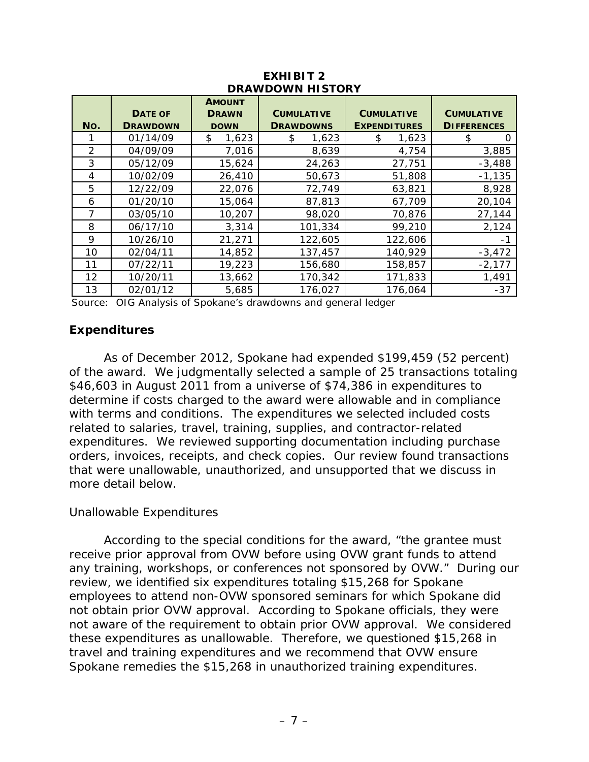| <b>DRAWDOWN HISTORY</b> |                                   |                                              |                                       |                                          |                                         |  |
|-------------------------|-----------------------------------|----------------------------------------------|---------------------------------------|------------------------------------------|-----------------------------------------|--|
| No.                     | <b>DATE OF</b><br><b>DRAWDOWN</b> | <b>AMOUNT</b><br><b>DRAWN</b><br><b>DOWN</b> | <b>CUMULATIVE</b><br><b>DRAWDOWNS</b> | <b>CUMULATIVE</b><br><b>EXPENDITURES</b> | <b>CUMULATIVE</b><br><b>DIFFERENCES</b> |  |
|                         | 01/14/09                          | 1,623<br>\$                                  | 1,623<br>\$                           | 1,623<br>\$                              | \$<br>0                                 |  |
| $\mathcal{P}$           | 04/09/09                          | 7,016                                        | 8,639                                 | 4,754                                    | 3,885                                   |  |
| 3                       | 05/12/09                          | 15,624                                       | 24,263                                | 27,751                                   | $-3,488$                                |  |
| 4                       | 10/02/09                          | 26,410                                       | 50,673                                | 51,808                                   | $-1,135$                                |  |
| 5                       | 12/22/09                          | 22,076                                       | 72,749                                | 63,821                                   | 8,928                                   |  |
| 6                       | 01/20/10                          | 15,064                                       | 87,813                                | 67,709                                   | 20,104                                  |  |
| 7                       | 03/05/10                          | 10,207                                       | 98,020                                | 70,876                                   | 27,144                                  |  |
| 8                       | 06/17/10                          | 3,314                                        | 101,334                               | 99,210                                   | 2,124                                   |  |
| 9                       | 10/26/10                          | 21,271                                       | 122,605                               | 122,606                                  | -1                                      |  |
| 10                      | 02/04/11                          | 14,852                                       | 137,457                               | 140,929                                  | $-3,472$                                |  |
| 11                      | 07/22/11                          | 19,223                                       | 156,680                               | 158,857                                  | $-2,177$                                |  |
| 12                      | 10/20/11                          | 13,662                                       | 170,342                               | 171,833                                  | 1,491                                   |  |
| 13                      | 02/01/12                          | 5,685                                        | 176,027                               | 176,064                                  | $-37$                                   |  |

### **EXHIBIT 2 DRAWDOWN HISTORY**

Source: OIG Analysis of Spokane's drawdowns and general ledger

### **Expenditures**

 of the award*.* We judgmentally selected a sample of 25 transactions totaling \$46,603 in August 2011 from a universe of \$74,386 in expenditures to expenditures. We reviewed supporting documentation including purchase that were unallowable, unauthorized, and unsupported that we discuss in As of December 2012, Spokane had expended \$199,459 (52 percent) determine if costs charged to the award were allowable and in compliance with terms and conditions. The expenditures we selected included costs related to salaries, travel, training, supplies, and contractor-related orders, invoices, receipts, and check copies. Our review found transactions more detail below.

### *Unallowable Expenditures*

 any training, workshops, or conferences not sponsored by OVW." During our not aware of the requirement to obtain prior OVW approval. We considered these expenditures as unallowable. Therefore, we questioned \$15,268 in According to the special conditions for the award, "the grantee must receive prior approval from OVW before using OVW grant funds to attend review, we identified six expenditures totaling \$15,268 for Spokane employees to attend non-OVW sponsored seminars for which Spokane did not obtain prior OVW approval. According to Spokane officials, they were travel and training expenditures and we recommend that OVW ensure Spokane remedies the \$15,268 in unauthorized training expenditures.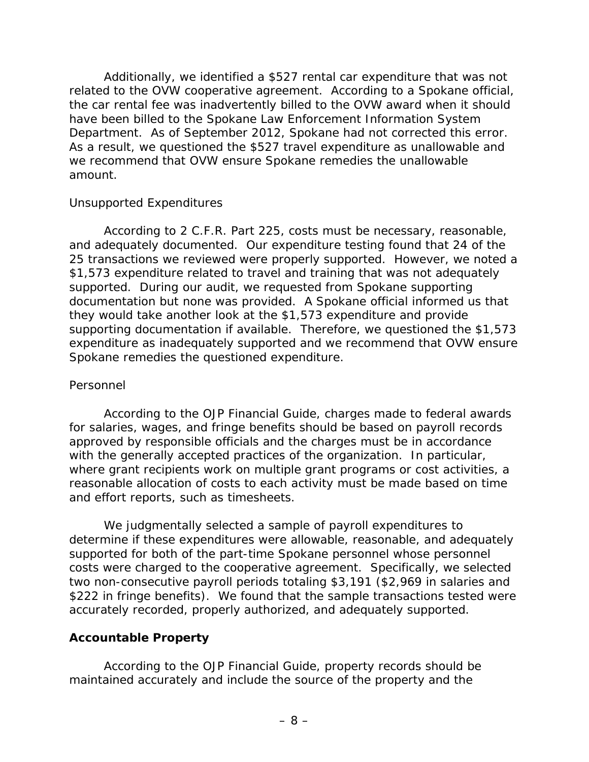related to the OVW cooperative agreement. According to a Spokane official, the car rental fee was inadvertently billed to the OVW award when it should amount. Additionally, we identified a \$527 rental car expenditure that was not have been billed to the Spokane Law Enforcement Information System Department. As of September 2012, Spokane had not corrected this error. As a result, we questioned the \$527 travel expenditure as unallowable and we recommend that OVW ensure Spokane remedies the unallowable

## *Unsupported Expenditures*

 According to 2 C.F.R. Part 225, costs must be necessary, reasonable, 25 transactions we reviewed were properly supported. However, we noted a \$1,573 expenditure related to travel and training that was not adequately supported. During our audit, we requested from Spokane supporting documentation but none was provided. A Spokane official informed us that supporting documentation if available. Therefore, we questioned the \$1,573 Spokane remedies the questioned expenditure. and adequately documented. Our expenditure testing found that 24 of the they would take another look at the \$1,573 expenditure and provide expenditure as inadequately supported and we recommend that OVW ensure

## *Personnel*

 According to the *OJP Financial Guide,* charges made to federal awards reasonable allocation of costs to each activity must be made based on time for salaries, wages, and fringe benefits should be based on payroll records approved by responsible officials and the charges must be in accordance with the generally accepted practices of the organization. In particular, where grant recipients work on multiple grant programs or cost activities, a and effort reports, such as timesheets.

 We judgmentally selected a sample of payroll expenditures to two non-consecutive payroll periods totaling \$3,191 (\$2,969 in salaries and determine if these expenditures were allowable, reasonable, and adequately supported for both of the part-time Spokane personnel whose personnel costs were charged to the cooperative agreement. Specifically, we selected \$222 in fringe benefits). We found that the sample transactions tested were accurately recorded, properly authorized, and adequately supported.

## **Accountable Property**

 According to the *OJP Financial Guide,* property records should be maintained accurately and include the source of the property and the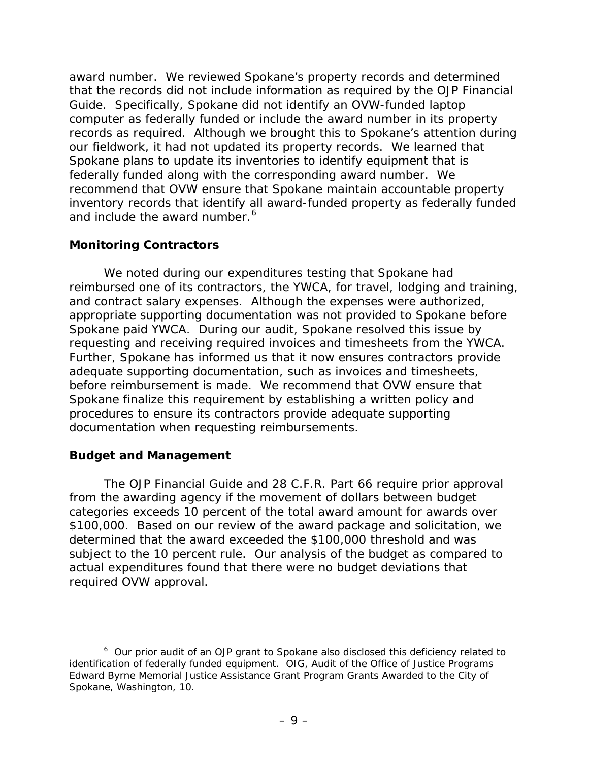award number. We reviewed Spokane's property records and determined that the records did not include information as required by the *OJP Financial Guide*. Specifically, Spokane did not identify an OVW-funded laptop our fieldwork, it had not updated its property records. We learned that federally funded along with the corresponding award number. We and include the award number.<sup>6</sup> computer as federally funded or include the award number in its property records as required. Although we brought this to Spokane's attention during Spokane plans to update its inventories to identify equipment that is recommend that OVW ensure that Spokane maintain accountable property inventory records that identify all award-funded property as federally funded

## **Monitoring Contractors**

 and contract salary expenses. Although the expenses were authorized, Further, Spokane has informed us that it now ensures contractors provide before reimbursement is made. We recommend that OVW ensure that procedures to ensure its contractors provide adequate supporting We noted during our expenditures testing that Spokane had reimbursed one of its contractors, the YWCA, for travel, lodging and training, appropriate supporting documentation was not provided to Spokane before Spokane paid YWCA. During our audit, Spokane resolved this issue by requesting and receiving required invoices and timesheets from the YWCA. adequate supporting documentation, such as invoices and timesheets, Spokane finalize this requirement by establishing a written policy and documentation when requesting reimbursements.

## **Budget and Management**

 The *OJP Financial Guide* and 28 C.F.R. Part 66 require prior approval from the awarding agency if the movement of dollars between budget categories exceeds 10 percent of the total award amount for awards over \$100,000. Based on our review of the award package and solicitation, we determined that the award exceeded the \$100,000 threshold and was subject to the 10 percent rule*.* Our analysis of the budget as compared to actual expenditures found that there were no budget deviations that required OVW approval.

<span id="page-12-0"></span> $\overline{a}$  $6$  Our prior audit of an OJP grant to Spokane also disclosed this deficiency related to identification of federally funded equipment. OIG, *Audit of the Office of Justice Programs Edward Byrne Memorial Justice Assistance Grant Program Grants Awarded to the City of Spokane, Washington,* 10.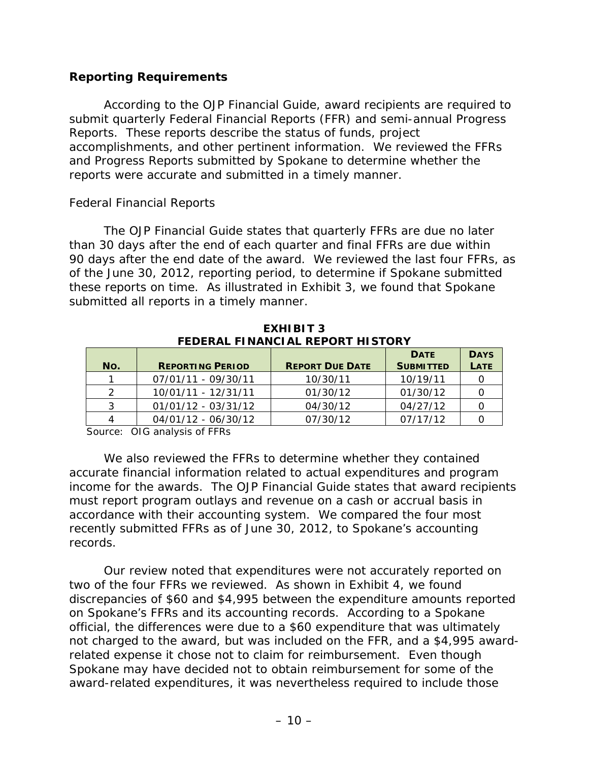## **Reporting Requirements**

According to the *OJP Financial Guide*, award recipients are required to submit quarterly Federal Financial Reports (FFR) and semi-annual Progress Reports. These reports describe the status of funds, project accomplishments, and other pertinent information. We reviewed the FFRs and Progress Reports submitted by Spokane to determine whether the reports were accurate and submitted in a timely manner.

## *Federal Financial Reports*

 The *OJP Financial Guide* states that quarterly FFRs are due no later of the June 30, 2012, reporting period, to determine if Spokane submitted than 30 days after the end of each quarter and final FFRs are due within 90 days after the end date of the award. We reviewed the last four FFRs, as these reports on time. As illustrated in Exhibit 3, we found that Spokane submitted all reports in a timely manner.

| FEDERAL FINANCIAL REPORT HISTORY |                         |                        |                  |             |  |  |
|----------------------------------|-------------------------|------------------------|------------------|-------------|--|--|
| <b>DATE</b>                      |                         |                        |                  | <b>DAYS</b> |  |  |
| No.                              | <b>REPORTING PERIOD</b> | <b>REPORT DUE DATE</b> | <b>SUBMITTED</b> | <b>LATE</b> |  |  |
|                                  | 07/01/11 - 09/30/11     | 10/30/11               | 10/19/11         |             |  |  |
| $\mathcal{D}$                    | 10/01/11 - 12/31/11     | 01/30/12               | 01/30/12         |             |  |  |
| 3                                | 01/01/12 - 03/31/12     | 04/30/12               | 04/27/12         |             |  |  |
| 4                                | 04/01/12 - 06/30/12     | 07/30/12               | 07/17/12         |             |  |  |

 **EXHIBIT 3 FEDERAL FINANCIAL REPORT HISTORY**

Source: OIG analysis of FFRs

 recently submitted FFRs as of June 30, 2012, to Spokane's accounting We also reviewed the FFRs to determine whether they contained accurate financial information related to actual expenditures and program income for the awards. The *OJP Financial Guide* states that award recipients must report program outlays and revenue on a cash or accrual basis in accordance with their accounting system. We compared the four most records.

 not charged to the award, but was included on the FFR, and a \$4,995 award- related expense it chose not to claim for reimbursement. Even though Spokane may have decided not to obtain reimbursement for some of the Our review noted that expenditures were not accurately reported on two of the four FFRs we reviewed. As shown in Exhibit 4, we found discrepancies of \$60 and \$4,995 between the expenditure amounts reported on Spokane's FFRs and its accounting records. According to a Spokane official, the differences were due to a \$60 expenditure that was ultimately award-related expenditures, it was nevertheless required to include those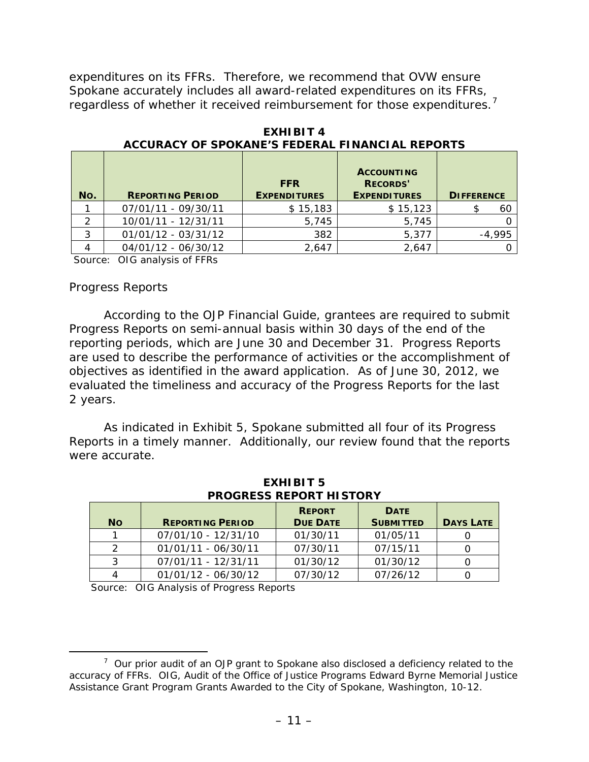expenditures on its FFRs. Therefore, we recommend that OVW ensure Spokane accurately includes all award-related expenditures on its FFRs, regardless of whether it received reimbursement for those expenditures.<sup>[7](#page-14-0)</sup>

| No. | <b>REPORTING PERIOD</b> | <b>FFR</b><br><b>EXPENDITURES</b> | <b>ACCOUNTING</b><br><b>RECORDS'</b><br><b>EXPENDITURES</b> | <b>DIFFERENCE</b> |
|-----|-------------------------|-----------------------------------|-------------------------------------------------------------|-------------------|
|     | 07/01/11 - 09/30/11     | \$15,183                          | \$15,123                                                    | 60                |
|     | 10/01/11 - 12/31/11     | 5,745                             | 5,745                                                       |                   |
| 3   | 01/01/12 - 03/31/12     | 382                               | 5,377                                                       | $-4,995$          |
|     | 04/01/12 - 06/30/12     | 2,647                             | 2,647                                                       |                   |

 **EXHIBIT 4 ACCURACY OF SPOKANE'S FEDERAL FINANCIAL REPORTS** 

Source: OIG analysis of FFRs

### *Progress Reports*

 According to the *OJP Financial Guide,* grantees are required to submit reporting periods, which are June 30 and December 31. Progress Reports objectives as identified in the award application. As of June 30, 2012, we 2 years. Progress Reports on semi-annual basis within 30 days of the end of the are used to describe the performance of activities or the accomplishment of evaluated the timeliness and accuracy of the Progress Reports for the last

 Reports in a timely manner. Additionally, our review found that the reports As indicated in Exhibit 5, Spokane submitted all four of its Progress were accurate.

|               | PRUGRESS REPURT HISTURY |                 |                  |                  |  |  |
|---------------|-------------------------|-----------------|------------------|------------------|--|--|
|               |                         | <b>REPORT</b>   | <b>DATE</b>      |                  |  |  |
| <b>No</b>     | <b>REPORTING PERIOD</b> | <b>DUE DATE</b> | <b>SUBMITTED</b> | <b>DAYS LATE</b> |  |  |
|               | 07/01/10 - 12/31/10     | 01/30/11        | 01/05/11         |                  |  |  |
| $\mathcal{P}$ | $01/01/11 - 06/30/11$   | 07/30/11        | 07/15/11         |                  |  |  |
| 3             | 07/01/11 - 12/31/11     | 01/30/12        | 01/30/12         |                  |  |  |
|               | $01/01/12 - 06/30/12$   | 07/30/12        | 07/26/12         |                  |  |  |

 **EXHIBIT 5 PROGRESS REPORT HISTORY**

Source: OIG Analysis of Progress Reports

<span id="page-14-0"></span>l  $7$  Our prior audit of an OJP grant to Spokane also disclosed a deficiency related to the accuracy of FFRs. OIG, *Audit of the Office of Justice Programs Edward Byrne Memorial Justice Assistance Grant Program Grants Awarded to the City of Spokane, Washington,* 10-12.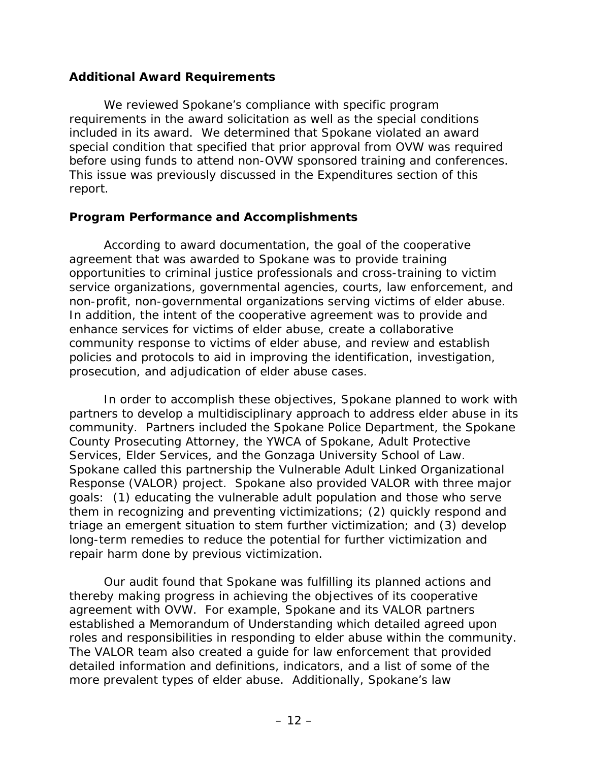## **Additional Award Requirements**

We reviewed Spokane's compliance with specific program requirements in the award solicitation as well as the special conditions included in its award. We determined that Spokane violated an award special condition that specified that prior approval from OVW was required before using funds to attend non-OVW sponsored training and conferences. This issue was previously discussed in the Expenditures section of this report.

## **Program Performance and Accomplishments**

 According to award documentation, the goal of the cooperative service organizations, governmental agencies, courts, law enforcement, and prosecution, and adjudication of elder abuse cases. agreement that was awarded to Spokane was to provide training opportunities to criminal justice professionals and cross-training to victim non-profit, non-governmental organizations serving victims of elder abuse. In addition, the intent of the cooperative agreement was to provide and enhance services for victims of elder abuse, create a collaborative community response to victims of elder abuse, and review and establish policies and protocols to aid in improving the identification, investigation,

 goals: (1) educating the vulnerable adult population and those who serve In order to accomplish these objectives, Spokane planned to work with partners to develop a multidisciplinary approach to address elder abuse in its community. Partners included the Spokane Police Department, the Spokane County Prosecuting Attorney, the YWCA of Spokane, Adult Protective Services, Elder Services, and the Gonzaga University School of Law. Spokane called this partnership the Vulnerable Adult Linked Organizational Response (VALOR) project. Spokane also provided VALOR with three major them in recognizing and preventing victimizations; (2) quickly respond and triage an emergent situation to stem further victimization; and (3) develop long-term remedies to reduce the potential for further victimization and repair harm done by previous victimization.

 agreement with OVW. For example, Spokane and its VALOR partners Our audit found that Spokane was fulfilling its planned actions and thereby making progress in achieving the objectives of its cooperative established a Memorandum of Understanding which detailed agreed upon roles and responsibilities in responding to elder abuse within the community. The VALOR team also created a guide for law enforcement that provided detailed information and definitions, indicators, and a list of some of the more prevalent types of elder abuse. Additionally, Spokane's law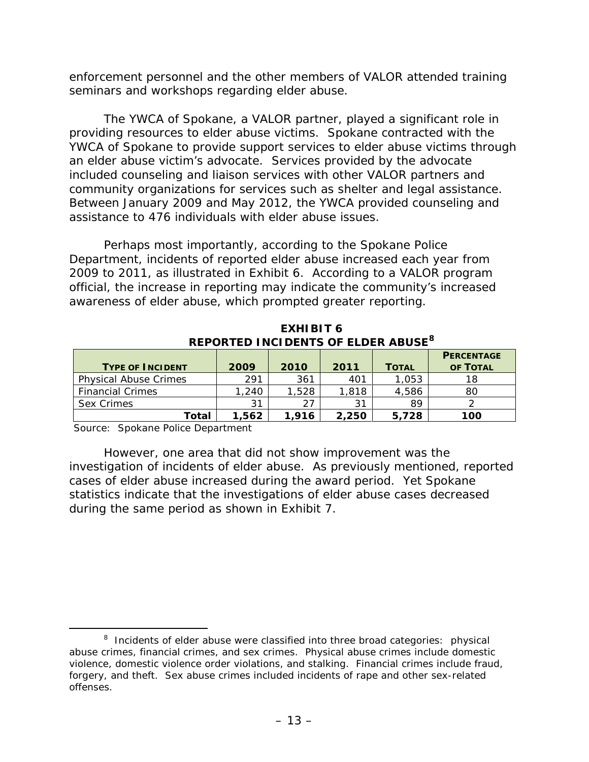enforcement personnel and the other members of VALOR attended training seminars and workshops regarding elder abuse.

community organizations for services such as shelter and legal assistance. The YWCA of Spokane, a VALOR partner, played a significant role in providing resources to elder abuse victims. Spokane contracted with the YWCA of Spokane to provide support services to elder abuse victims through an elder abuse victim's advocate. Services provided by the advocate included counseling and liaison services with other VALOR partners and Between January 2009 and May 2012, the YWCA provided counseling and assistance to 476 individuals with elder abuse issues.

 2009 to 2011, as illustrated in Exhibit 6. According to a VALOR program Perhaps most importantly, according to the Spokane Police Department, incidents of reported elder abuse increased each year from official, the increase in reporting may indicate the community's increased awareness of elder abuse, which prompted greater reporting.

**EXHIBIT 6 REPORTED INCIDENTS OF ELDER ABUSE[8](#page-16-0)** 

| <b>TYPE OF INCIDENT</b>      | 2009  | 2010  | 2011  | <b>TOTAL</b> | <b>PERCENTAGE</b><br>OF TOTAL |
|------------------------------|-------|-------|-------|--------------|-------------------------------|
| <b>Physical Abuse Crimes</b> | 291   | 361   | 401   | 1,053        |                               |
| <b>Financial Crimes</b>      | 1,240 | 1,528 | 1,818 | 4,586        | 80                            |
| Sex Crimes                   | 31    | 27    | 31    | 89           |                               |
| Total                        | 1.562 | 1.916 | 2,250 | 5.728        | 100                           |

Source: Spokane Police Department

 during the same period as shown in Exhibit 7. However, one area that did not show improvement was the investigation of incidents of elder abuse. As previously mentioned, reported cases of elder abuse increased during the award period. Yet Spokane statistics indicate that the investigations of elder abuse cases decreased

<span id="page-16-0"></span>l  $8$  Incidents of elder abuse were classified into three broad categories: physical abuse crimes, financial crimes, and sex crimes. Physical abuse crimes include domestic violence, domestic violence order violations, and stalking. Financial crimes include fraud, forgery, and theft. Sex abuse crimes included incidents of rape and other sex-related offenses.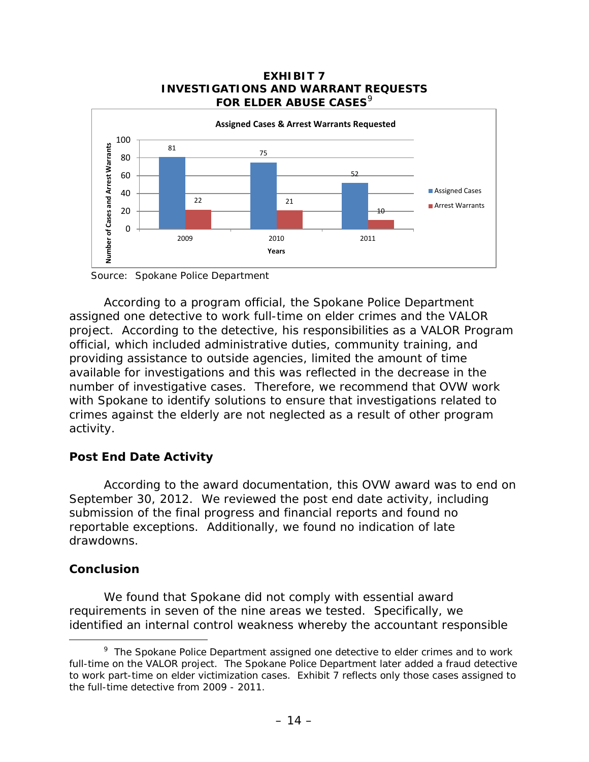

Source: Spokane Police Department

 number of investigative cases. Therefore, we recommend that OVW work According to a program official, the Spokane Police Department assigned one detective to work full-time on elder crimes and the VALOR project. According to the detective, his responsibilities as a VALOR Program official, which included administrative duties, community training, and providing assistance to outside agencies, limited the amount of time available for investigations and this was reflected in the decrease in the with Spokane to identify solutions to ensure that investigations related to crimes against the elderly are not neglected as a result of other program activity.

## **Post End Date Activity**

 According to the award documentation, this OVW award was to end on September 30, 2012. We reviewed the post end date activity, including submission of the final progress and financial reports and found no reportable exceptions. Additionally, we found no indication of late drawdowns.

### **Conclusion**

-

 requirements in seven of the nine areas we tested. Specifically, we We found that Spokane did not comply with essential award identified an internal control weakness whereby the accountant responsible

<span id="page-17-0"></span> $9$  The Spokane Police Department assigned one detective to elder crimes and to work full-time on the VALOR project. The Spokane Police Department later added a fraud detective to work part-time on elder victimization cases. Exhibit 7 reflects only those cases assigned to the full-time detective from 2009 - 2011.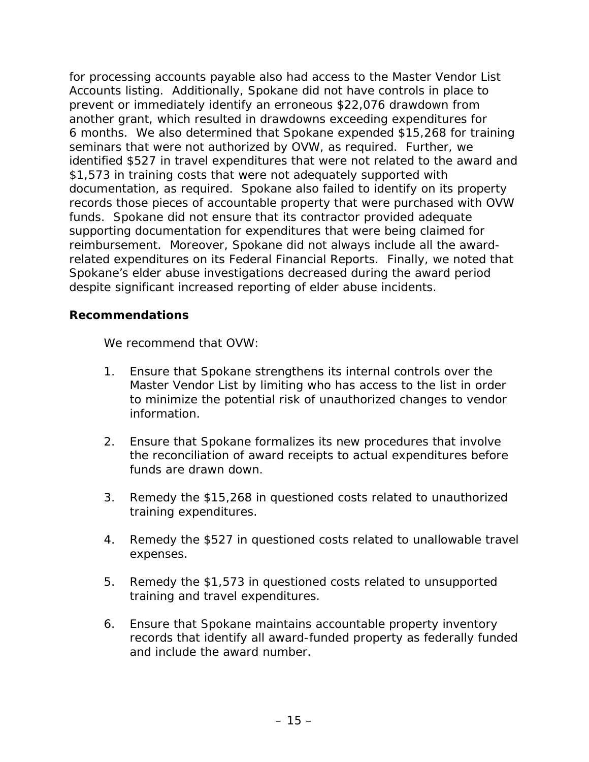Accounts listing. Additionally, Spokane did not have controls in place to prevent or immediately identify an erroneous \$22,076 drawdown from 6 months. We also determined that Spokane expended \$15,268 for training funds. Spokane did not ensure that its contractor provided adequate reimbursement. Moreover, Spokane did not always include all the awardfor processing accounts payable also had access to the Master Vendor List another grant, which resulted in drawdowns exceeding expenditures for seminars that were not authorized by OVW, as required. Further, we identified \$527 in travel expenditures that were not related to the award and \$1,573 in training costs that were not adequately supported with documentation, as required. Spokane also failed to identify on its property records those pieces of accountable property that were purchased with OVW supporting documentation for expenditures that were being claimed for related expenditures on its Federal Financial Reports. Finally, we noted that Spokane's elder abuse investigations decreased during the award period despite significant increased reporting of elder abuse incidents.

## **Recommendations**

We recommend that OVW:

- 1. Ensure that Spokane strengthens its internal controls over the Master Vendor List by limiting who has access to the list in order to minimize the potential risk of unauthorized changes to vendor information.
- 2. Ensure that Spokane formalizes its new procedures that involve the reconciliation of award receipts to actual expenditures before funds are drawn down.
- 3. Remedy the \$15,268 in questioned costs related to unauthorized training expenditures.
- 4. Remedy the \$527 in questioned costs related to unallowable travel expenses.
- 5. Remedy the \$1,573 in questioned costs related to unsupported training and travel expenditures.
- 6. Ensure that Spokane maintains accountable property inventory records that identify all award-funded property as federally funded and include the award number.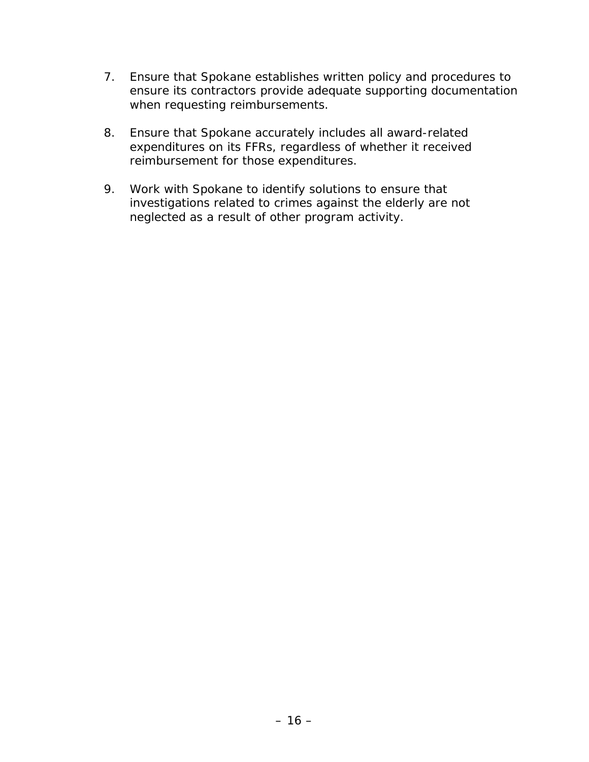- 7. Ensure that Spokane establishes written policy and procedures to ensure its contractors provide adequate supporting documentation when requesting reimbursements.
- 8. Ensure that Spokane accurately includes all award-related expenditures on its FFRs, regardless of whether it received reimbursement for those expenditures.
- 9. Work with Spokane to identify solutions to ensure that investigations related to crimes against the elderly are not neglected as a result of other program activity.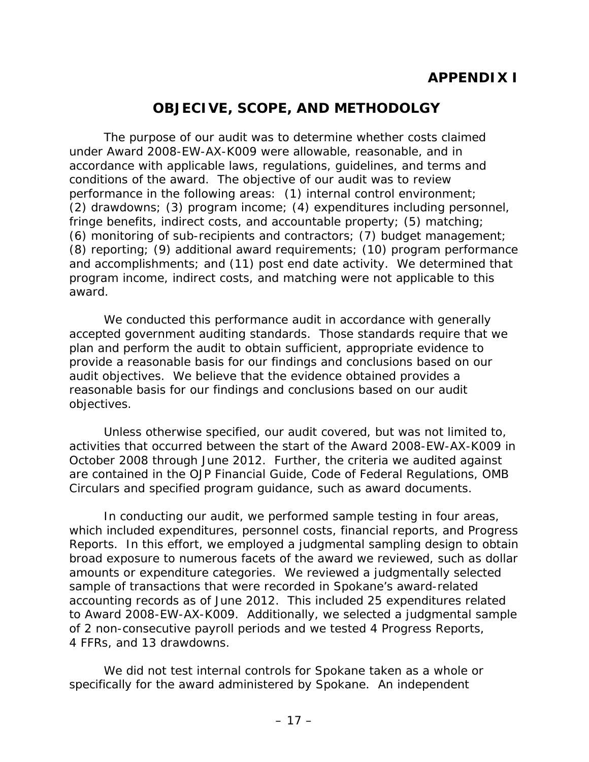# **APPENDIX I**

# **OBJECIVE, SCOPE, AND METHODOLGY**

 under Award 2008-EW-AX-K009 were allowable, reasonable, and in performance in the following areas: (1) internal control environment; program income, indirect costs, and matching were not applicable to this The purpose of our audit was to determine whether costs claimed accordance with applicable laws, regulations, guidelines, and terms and conditions of the award. The objective of our audit was to review (2) drawdowns; (3) program income; (4) expenditures including personnel, fringe benefits, indirect costs, and accountable property; (5) matching; (6) monitoring of sub-recipients and contractors; (7) budget management; (8) reporting; (9) additional award requirements; (10) program performance and accomplishments; and (11) post end date activity. We determined that award.

 reasonable basis for our findings and conclusions based on our audit We conducted this performance audit in accordance with generally accepted government auditing standards. Those standards require that we plan and perform the audit to obtain sufficient, appropriate evidence to provide a reasonable basis for our findings and conclusions based on our audit objectives. We believe that the evidence obtained provides a objectives.

Unless otherwise specified, our audit covered, but was not limited to, activities that occurred between the start of the Award 2008-EW-AX-K009 in October 2008 through June 2012. Further, the criteria we audited against are contained in the *OJP Financial Guide*, Code of Federal Regulations, OMB Circulars and specified program guidance, such as award documents.

 of 2 non-consecutive payroll periods and we tested 4 Progress Reports, In conducting our audit, we performed sample testing in four areas, which included expenditures, personnel costs, financial reports, and Progress Reports. In this effort, we employed a judgmental sampling design to obtain broad exposure to numerous facets of the award we reviewed, such as dollar amounts or expenditure categories. We reviewed a judgmentally selected sample of transactions that were recorded in Spokane's award-related accounting records as of June 2012. This included 25 expenditures related to Award 2008-EW-AX-K009. Additionally, we selected a judgmental sample 4 FFRs, and 13 drawdowns.

We did not test internal controls for Spokane taken as a whole or specifically for the award administered by Spokane. An independent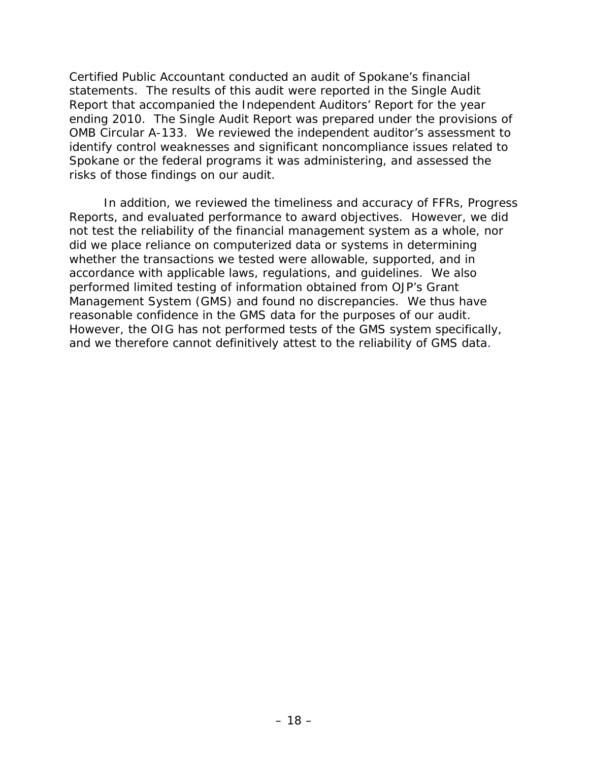Certified Public Accountant conducted an audit of Spokane's financial statements. The results of this audit were reported in the Single Audit Report that accompanied the Independent Auditors' Report for the year ending 2010. The Single Audit Report was prepared under the provisions of OMB Circular A-133. We reviewed the independent auditor's assessment to identify control weaknesses and significant noncompliance issues related to Spokane or the federal programs it was administering, and assessed the risks of those findings on our audit.

 accordance with applicable laws, regulations, and guidelines. We also reasonable confidence in the GMS data for the purposes of our audit. In addition, we reviewed the timeliness and accuracy of FFRs, Progress Reports, and evaluated performance to award objectives. However, we did not test the reliability of the financial management system as a whole, nor did we place reliance on computerized data or systems in determining whether the transactions we tested were allowable, supported, and in performed limited testing of information obtained from OJP's Grant Management System (GMS) and found no discrepancies. We thus have However, the OIG has not performed tests of the GMS system specifically, and we therefore cannot definitively attest to the reliability of GMS data.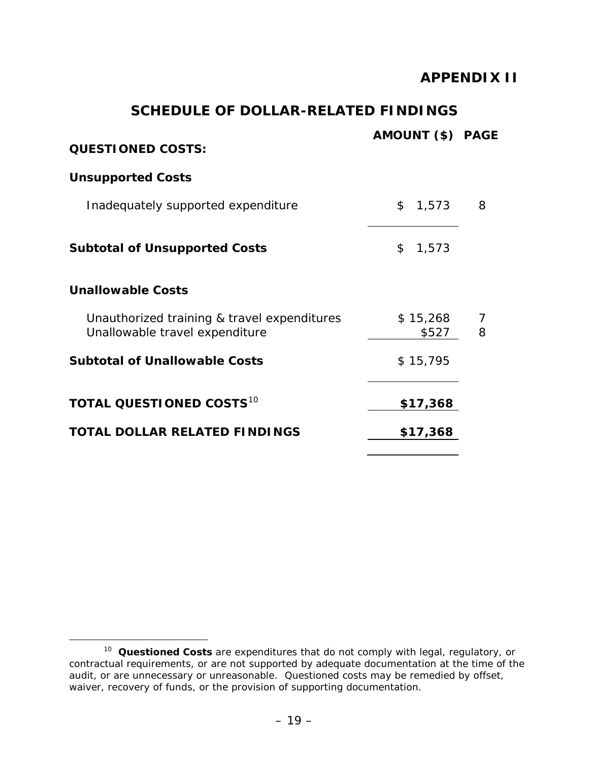## **APPENDIX II**

## **SCHEDULE OF DOLLAR-RELATED FINDINGS**

| <b>QUESTIONED COSTS:</b>                                                      | AMOUNT (\$) PAGE  |        |
|-------------------------------------------------------------------------------|-------------------|--------|
| <b>Unsupported Costs</b>                                                      |                   |        |
| Inadequately supported expenditure                                            | \$<br>1,573       | 8      |
| <b>Subtotal of Unsupported Costs</b>                                          | \$<br>1,573       |        |
| <b>Unallowable Costs</b>                                                      |                   |        |
| Unauthorized training & travel expenditures<br>Unallowable travel expenditure | \$15,268<br>\$527 | 7<br>8 |
| <b>Subtotal of Unallowable Costs</b>                                          | \$15,795          |        |
| TOTAL QUESTIONED COSTS <sup>10</sup>                                          | \$17,368          |        |
| <b>TOTAL DOLLAR RELATED FINDINGS</b>                                          | \$17,368          |        |

 $\overline{a}$ 

<span id="page-22-0"></span><sup>&</sup>lt;sup>10</sup> **Questioned Costs** are expenditures that do not comply with legal, regulatory, or contractual requirements, or are not supported by adequate documentation at the time of the audit, or are unnecessary or unreasonable. Questioned costs may be remedied by offset, waiver, recovery of funds, or the provision of supporting documentation.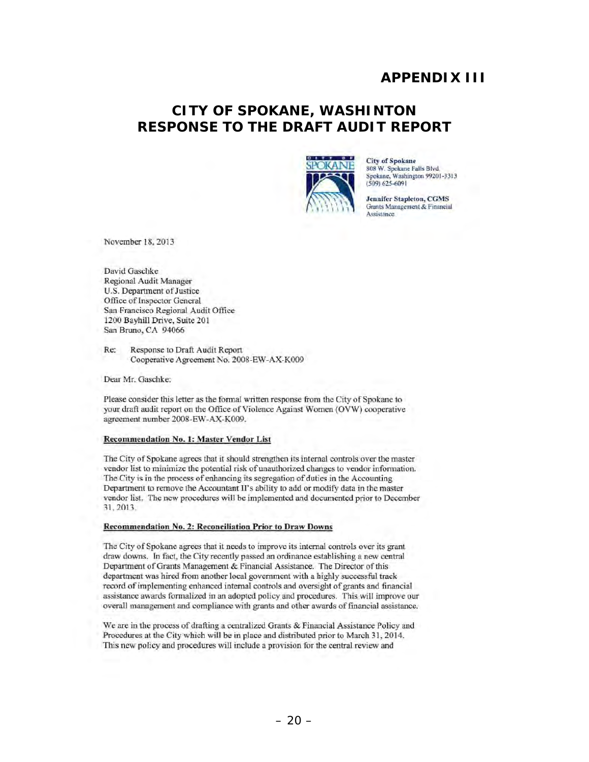## **APPENDIX III**

## **RESPONSE TO THE DRAFT AUDIT REPORT CITY OF SPOKANE, WASHINTON**



City of Spokane 808 W. Spokane Falls Blvd. Spokane, Washington 99201-3313 (509) 625-6091

Jennifer Stapleton, CGMS Grants Management & Financial Assistance

November 18, 2013

David Gaschke Regional Audit Manager U.S. Department of Justice Office of Inspector General San Francisco Regional Audit Office 1200 Bayhill Drive, Suite 201 San Bruno, CA 94066

Re: Response to Draft Audit Report Cooperative Agreement No. 2008-EW-AX-KOO9

Dear Mr. Gaschke:

Please consider this lctter as the fonnal written response from the City of Spokane to your draft audit report on the Office of Violence Against Women (OVW) cooperative agreement number 2008-EW-AX-KOO9.

#### Recommendation No. I: Master Vendor List

The City of Spokane agrees that it should strengthen its internal controls over the master vendor list to minimize the potential risk of unauthorized changes to vendor information. The City is in the process of enhancing its segregation of duties in the Accounting Department to remove the Acoountant II's ability to add or modify data in the master vendor list. The new procedures will be implemented and documented prior to December 31, 2013.

#### Recommendation No. 2: Reconciliation Prior to Draw Downs

The City of Spokane agrees that it needs to improve its internal controls over its grant draw downs. In fact, the City recently passed an ordinance establishing a new central Department of Grants Management & Financial Assistance. The Director of this department was hired from another local govcrnmcnt with a highly successful track record of implementing enhanced internal controls and oversight of grants and financial assistance awards formalized in an adopted policy and procedures. This will improve our overall management and compliance with grants and olher awards of financial assistancc.

We are in the process of drafting a centralized Grants & Financial Assistance Policy and Procedures at the City which will be in place and distributed prior to March 31, 2014. This new policy and procedures will include a provision for the central review and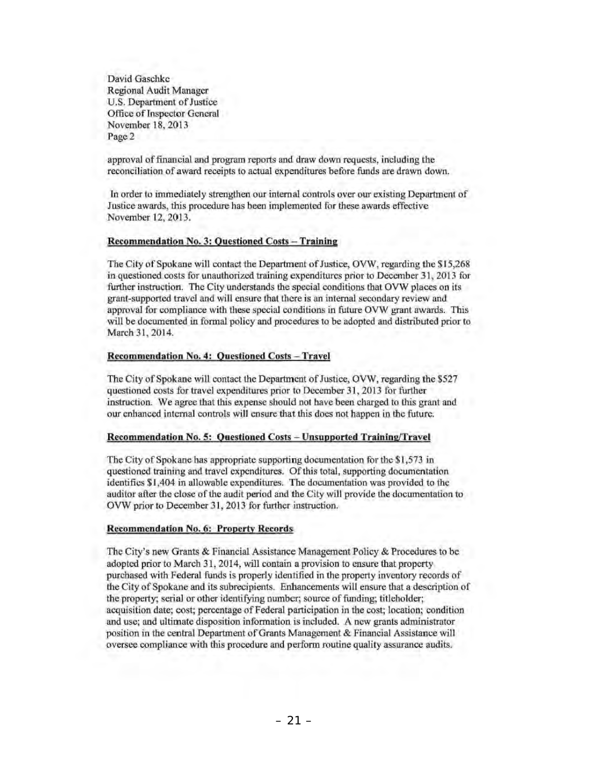David Gaschke Regional Audit Manager U.S. Department of Justicc Officc of Inspector General November 18, 2013 Page 2

approval of financial and program reports and draw down requests, including the reconciliation of award receipts to actual expenditures before funds are drawn down.

In order to immediately strengthen our internal controls over our existing Department of Justice awards, tbis procedure has been implemented for these awards effective November 12, 2013.

### Recommendation No. 3: Questioned Costs - Training

The City of Spokane will contact the Department of Justice, OVW, regarding the \$ 15,268 in questioned costs for unauthorized training expenditures prior to December 31, 2013 for further instruction. The City understands the special conditions that OVW places on its grant-supported travel and will ensure that there is an internal secondary review and approval for compliance with these special conditions in future OVW grant awards. This will be documented in fonnal policy and procedures to be adopted and distributed prior to Mareh 31, 2014.

#### Recommendation No. 4: Ouestioned Costs - Travel

The City of Spokane will contact the Department of Justice, OVW, regarding the \$527 questioned costs for travel expenditures prior to December 31,2013 for further instruction. We agree that this expense should not have been charged to this grant and our enhanced internal controls will ensure that Ihis does not happen in the future.

#### Recommendation No. 5: Ouestioned Costs - Unsupported Training/Travel

The City of Spokane has appropriate supporting documentation for the \$1 ,573 in questioned training and travel expenditures. Of this total, supporting documentation identifies \$1 ,404 in allowable expenditures. The documentation was provided to the auditor after the close of the audit period and the City will provide the documentation to OVW prior to December 31, 2013 for further instruction.

#### Recommendation No.6: Property Records

The City's new Grants & Financial Assistance Management Policy & Procedures to be adopted prior to March 31, 2014, will contain a provision to ensure that property purehased with Federal funds is properly identified in the propeny inventory records of the City of Spokane and its subrecipients. Enhancements will ensure that a description of the property; serial or other identifying number; source of funding; titleholder; acquisition date; cost; percentage of Federal participation in the cost; location; condition and use; and ultimate disposition information is included. A new grants administrator position in the central Department of Grants Management & Financial Assistance will oversee compliance with this procedure and perfonn routine quality assurance audits.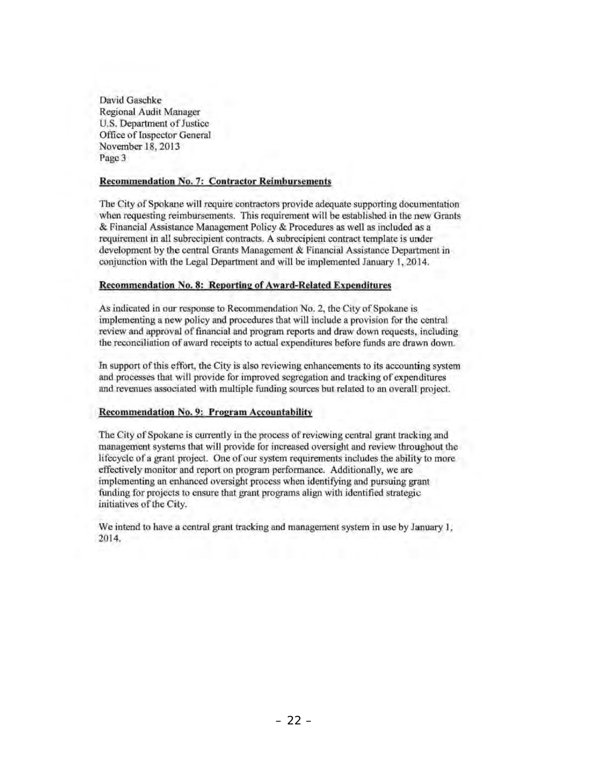David Gaschke Regional Audit Manager U.S. Department of Justice Officc of Inspector General November 18, 2013 Page 3

### Recommendation No.7: Contractor Reimbursements

The City of Spokane will require contractors provide adequate supporting documentation when requesting reimbursements. This requirement will be established in the new Grants & Financial Assistance Management Policy & Procedures as well as included as a requirement in all subrecipient contracts. A subrecipient contract template is under development by the central Grants Management & Financial Assistance Department in conjunction with the Legal Department and will be implemented January 1, 2014.

### Recommendation No. 8: Reporting of Award-Related Expenditures

As indicated in our response to Recommendation No. 2, the City of Spokane is implementing a new policy and procedures that will include a provision for the central review and approval of financial and program reports and draw down requests, including the reconciliation of award receipts to actual expenditures before funds are drawn down.

In support of this effort, the City is also reviewing enhancements to its accounting system and processes that will provide for improved segregation and tracking of expenditures and revenues associated with multiple funding sources but related to an overall project.

### Recommendation No. 9: Program Accountability

The City of Spokane is currently in the process of reviewing central grant tracking and management systems that will provide for increased oversight aud review throughout the lifecycle of a grant project. One of our system requirements includes the ability to more effectively monitor and report on program performance. Additionally, we are implementing an enhanced oversight process when identifying and pursuing grant funding for projects to ensure that grant programs align with identified strategic initiatives of the City.

We intend to have a central grant tracking and management system in use by January 1, 2014.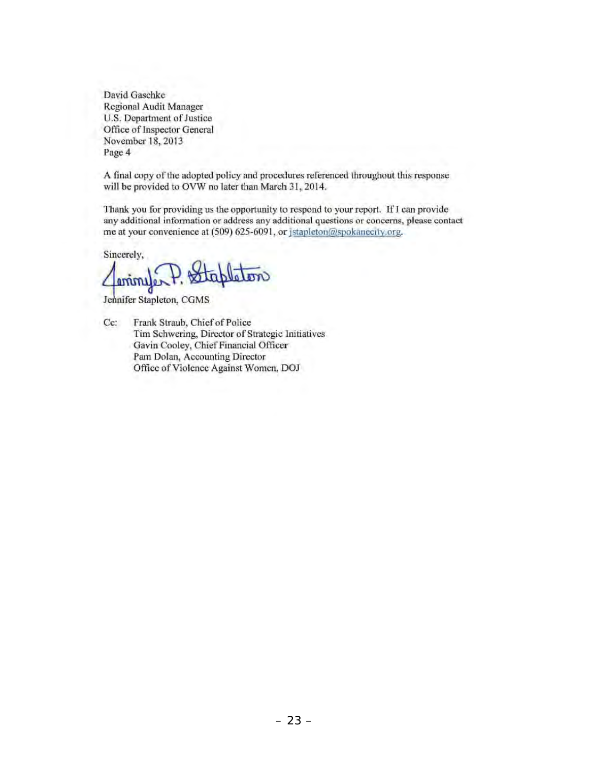David Oaschkc Rcgional Audit Manager U.S. Department of Justice Office of Inspector General November 18,2013 Page 4

A final copy of the adopted policy and procedures referenced throughout this response will be provided to OVW no later than March 31, 2014.

Thank you for providing us the opportunity to respond to your report. **If I** can provide any additional infonnation or address any additional questions or concerns, please contact me at your convenience at (509) 625-6091, or jstapleton@spokanecity.org.

Sincerely,

Commission P. Stapleton <u>enimye</u>

Cc: Frank Straub, Chief of Police Tim Schwering, Director or Strategic Initiatives Gavin Cooley, Chief Financial Officer Pam Dolan, Accounting Director Office of Violence Against Women, DOJ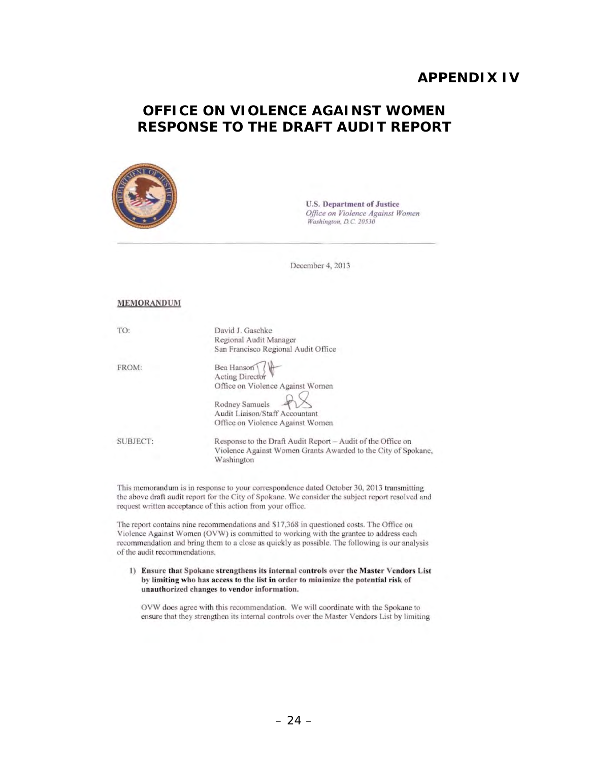## **APPENDIX IV**

## **RESPONSE TO THE DRAFT AUDIT REPORT OFFICE ON VIOLENCE AGAINST WOMEN**



U.S. Department of Justice **Office on Violence Against Women** *Washjngton, DC. 20530* 

December 4, 2013

#### MEMORANDUM

| TO:      | David J. Gaschke<br>Regional Audit Manager<br>San Francisco Regional Audit Office                                                                         |
|----------|-----------------------------------------------------------------------------------------------------------------------------------------------------------|
| FROM:    | Bea Hanson<br>Acting Director<br>Office on Violence Against Women<br>Rodney Samuels<br>Audit Liaison/Staff Accountant<br>Office on Violence Against Women |
| SUBJECT: | Response to the Draft Audit Report - Audit of the Office on<br>Violence Against Women Grants Awarded to the City of Spokane,<br>Washington                |

This memorandum is in response to your correspondence dated October 30, 2013 transmitting the above draft audit report for the City of Spokane. We consider the subject report resolved and request written acceptance of this action from your office.

The report contains nine recommendations and \$17,368 in questioned costs. The Office on Violence Against Women (OVW) is committed to working with the grantee to address each recommendation and bring them 10 a close as quickly as possible. The following is our analysis of the audit recommendations.

I) Ensure that Spokane strengthens its internal controls over the Master Vendors List by limiting who has access to the list in order to minimize the potential risk of unauthorized changes to vendor information,

OVW does agree with this recommendation. We will coordinate with the Spokane to ensure that they strengthen its internal controls over the Master Vendors List by limiting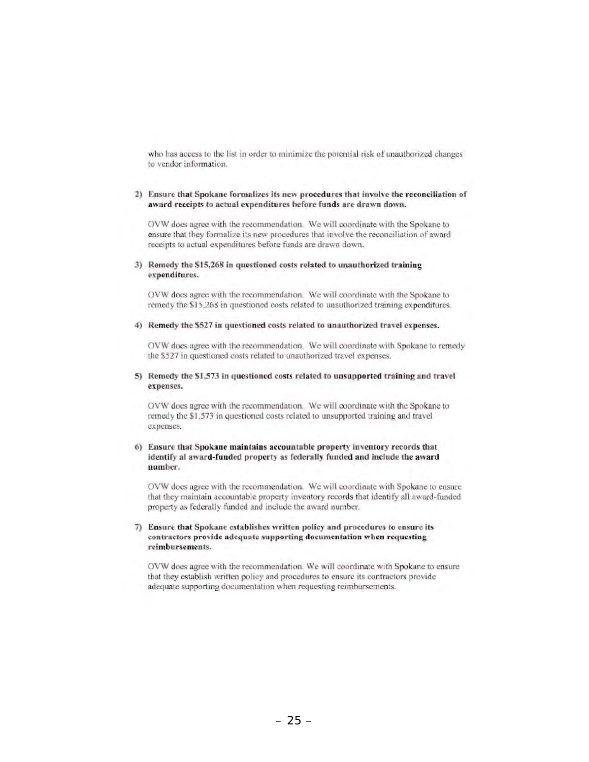who has access to the list in order to minimize the potential risk of unauthorized changes to vendor information.

#### 2) Ensure that Spokane formalizes its new procedures that involve the reconciliation of award receipts to actual expenditures before funds are drawn down.

OVW does agree with the recommendation. We will coordinate with the Spokane to ensure that they formalize its new procedures that involve the reconciliation of award receipts to actual expenditures before funds are drawn down.

#### 3) Remedy the S15,268 in questioned costs related to unauthorized training expenditures.

OVW does agree with the recommendation. We will coordinate with the Spokane to remedy the S 15,268 in questioned costs related to unauthorized training expenditures.

#### 4) Remedy the \$527 in questioned costs related to unauthorized travel expenses.

OVW does agree with the recommendation. We will coordinate with Spokane to remedy the \$527 in questioned costs related to unauthorized travel expenses.

#### 5) Remedy the \$1,573 in questioned costs related to unsupported training and travel expenses.

OVW docs agree with the recommendation. We will coordinate with the Spokane to remedy the \$1,573 in questioned costs related to unsupported training and travel expenses.

#### 6) Ensure that Spokane maintains accountable property inventory records that identify al award-funded property as federally funded and include the award number.

*OVW* does agree with the recommendation. We will coordinate with Spokane to ensure that they maintain accountable property inventory records that identify all award-funded property as federally funded and include the award number.

#### 7) Ensure that Spokane establishes written policy and procedures to ensure its contractors provide adequate supporting documentation when requesting reimbursements.

*OVW* does agree with the recommendation. We will coordinate with Spokane to ensure that they establish written policy and procedures to ensure its contractors provide adequate supporting documentation when requesting reimbursements.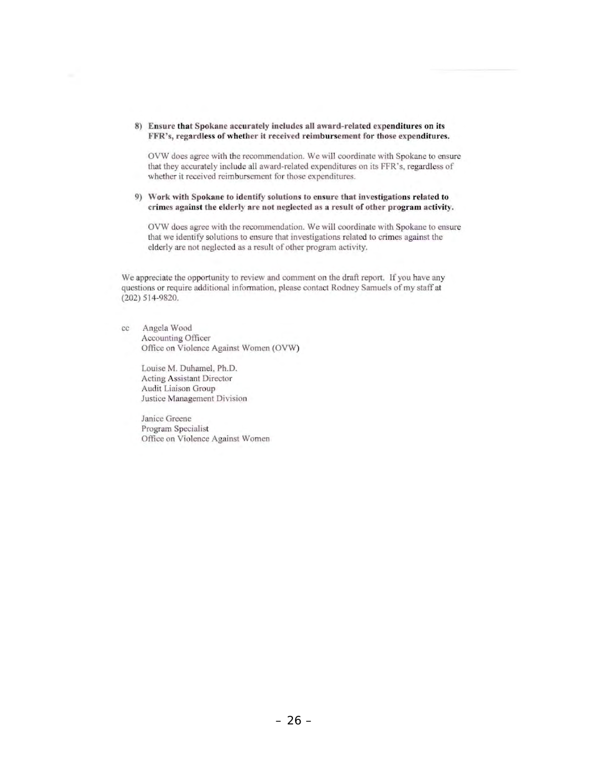#### **8) Ensure that Spokane accurately includes all award-related expenditures on its FFR's, regardless** of whether **it received reimbursement for those expenditures.**

**OVW does agree with the recommendation. We wi ll coordinate with Spokane to ensure**  that they accurately include all award-related expenditures on its FFR-s. regardless of whether it received reimbursement for those expenditures.

#### **9) Work with Spokane to identify solutions to ensure that investigations related to crimes against the elderly are not neglected as a result of otber program activity.**

OVW does agree with the recommendation. We will coordinate with Spokane to ensure **that we identify solutions to ensure that investigations related to crimes against lhe**  elderly are not neglected as a result of other program activity.

We appreciate the opportunity to review and comment on the draft report. If you have any **questions or require additional infonnation, please contact Rodney Samuels of my staff at**  (202) 51 4-9820.

cc Angela Wood **Accounting Officer**  Office on Violence Against Women (OVW)

> Louise M. Duhamel, Ph.D. **Acting Assistant Director Audit Liaison Group Justice Management Division**

**Janice Greene**  Program Specialist **Office on Violence Against Women**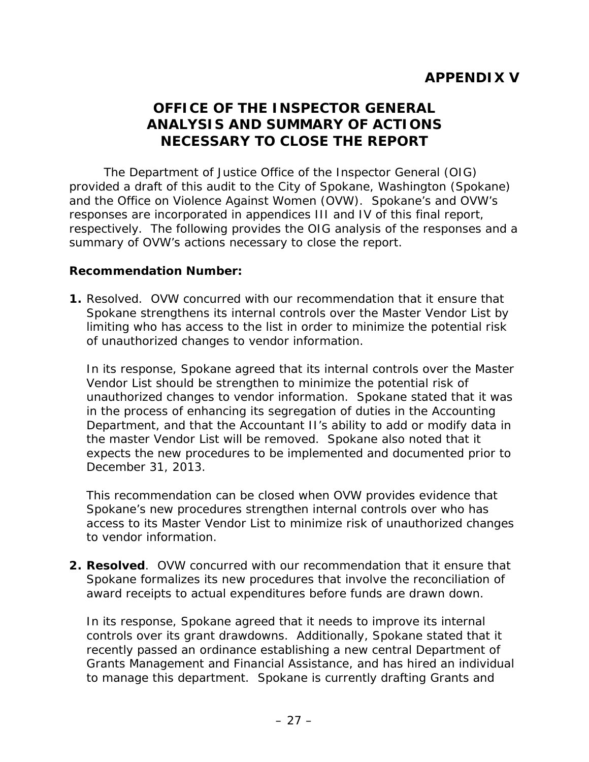# **OFFICE OF THE INSPECTOR GENERAL ANALYSIS AND SUMMARY OF ACTIONS NECESSARY TO CLOSE THE REPORT**

 and the Office on Violence Against Women (OVW). Spokane's and OVW's The Department of Justice Office of the Inspector General (OIG) provided a draft of this audit to the City of Spokane, Washington (Spokane) responses are incorporated in appendices III and IV of this final report, respectively. The following provides the OIG analysis of the responses and a summary of OVW's actions necessary to close the report.

### **Recommendation Number:**

 **1.** Resolved. OVW concurred with our recommendation that it ensure that of unauthorized changes to vendor information. Spokane strengthens its internal controls over the Master Vendor List by limiting who has access to the list in order to minimize the potential risk

 unauthorized changes to vendor information. Spokane stated that it was Department, and that the Accountant II's ability to add or modify data in In its response, Spokane agreed that its internal controls over the Master Vendor List should be strengthen to minimize the potential risk of in the process of enhancing its segregation of duties in the Accounting the master Vendor List will be removed. Spokane also noted that it expects the new procedures to be implemented and documented prior to December 31, 2013.

 Spokane's new procedures strengthen internal controls over who has This recommendation can be closed when OVW provides evidence that access to its Master Vendor List to minimize risk of unauthorized changes to vendor information.

**2. Resolved**. OVW concurred with our recommendation that it ensure that Spokane formalizes its new procedures that involve the reconciliation of award receipts to actual expenditures before funds are drawn down.

 In its response, Spokane agreed that it needs to improve its internal to manage this department. Spokane is currently drafting Grants and controls over its grant drawdowns. Additionally, Spokane stated that it recently passed an ordinance establishing a new central Department of Grants Management and Financial Assistance, and has hired an individual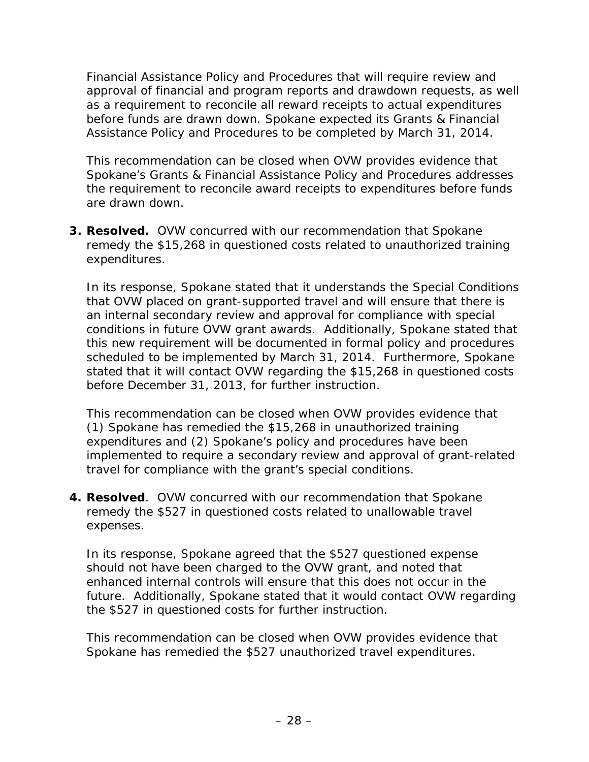Financial Assistance Policy and Procedures that will require review and approval of financial and program reports and drawdown requests, as well as a requirement to reconcile all reward receipts to actual expenditures before funds are drawn down. Spokane expected its Grants & Financial Assistance Policy and Procedures to be completed by March 31, 2014.

This recommendation can be closed when OVW provides evidence that Spokane's Grants & Financial Assistance Policy and Procedures addresses the requirement to reconcile award receipts to expenditures before funds are drawn down.

**3. Resolved.** OVW concurred with our recommendation that Spokane remedy the \$15,268 in questioned costs related to unauthorized training expenditures.

 In its response, Spokane stated that it understands the Special Conditions that OVW placed on grant-supported travel and will ensure that there is this new requirement will be documented in formal policy and procedures an internal secondary review and approval for compliance with special conditions in future OVW grant awards. Additionally, Spokane stated that scheduled to be implemented by March 31, 2014. Furthermore, Spokane stated that it will contact OVW regarding the \$15,268 in questioned costs before December 31, 2013, for further instruction.

 (1) Spokane has remedied the \$15,268 in unauthorized training This recommendation can be closed when OVW provides evidence that expenditures and (2) Spokane's policy and procedures have been implemented to require a secondary review and approval of grant-related travel for compliance with the grant's special conditions.

 **4. Resolved**. OVW concurred with our recommendation that Spokane expenses. remedy the \$527 in questioned costs related to unallowable travel

 future. Additionally, Spokane stated that it would contact OVW regarding the \$527 in questioned costs for further instruction. In its response, Spokane agreed that the \$527 questioned expense should not have been charged to the OVW grant, and noted that enhanced internal controls will ensure that this does not occur in the

 Spokane has remedied the \$527 unauthorized travel expenditures. This recommendation can be closed when OVW provides evidence that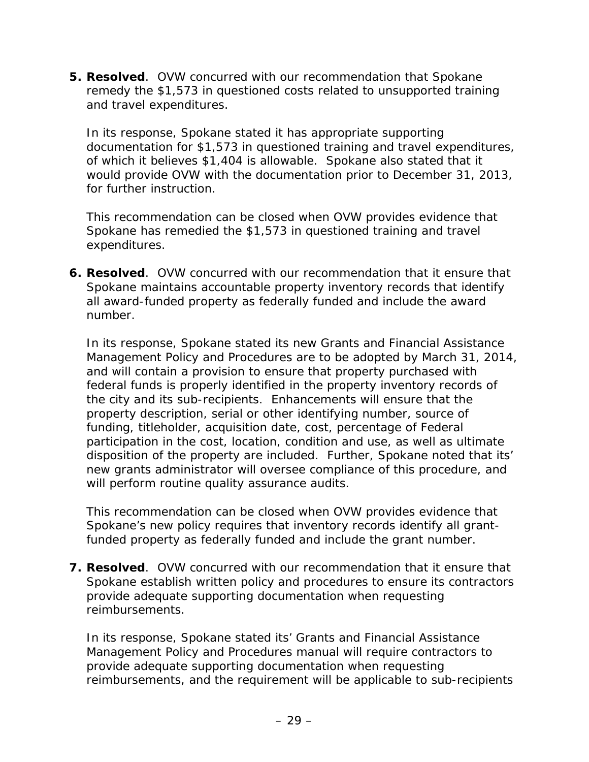**5. Resolved**. OVW concurred with our recommendation that Spokane remedy the \$1,573 in questioned costs related to unsupported training and travel expenditures.

 would provide OVW with the documentation prior to December 31, 2013, In its response, Spokane stated it has appropriate supporting documentation for \$1,573 in questioned training and travel expenditures, of which it believes \$1,404 is allowable. Spokane also stated that it for further instruction.

 Spokane has remedied the \$1,573 in questioned training and travel This recommendation can be closed when OVW provides evidence that expenditures.

 **6. Resolved**. OVW concurred with our recommendation that it ensure that Spokane maintains accountable property inventory records that identify number. all award-funded property as federally funded and include the award

number.<br>In its response, Spokane stated its new Grants and Financial Assistance funding, titleholder, acquisition date, cost, percentage of Federal disposition of the property are included. Further, Spokane noted that its' will perform routine quality assurance audits. Management Policy and Procedures are to be adopted by March 31, 2014, and will contain a provision to ensure that property purchased with federal funds is properly identified in the property inventory records of the city and its sub-recipients. Enhancements will ensure that the property description, serial or other identifying number, source of participation in the cost, location, condition and use, as well as ultimate new grants administrator will oversee compliance of this procedure, and

This recommendation can be closed when OVW provides evidence that Spokane's new policy requires that inventory records identify all grantfunded property as federally funded and include the grant number.

 **7. Resolved**. OVW concurred with our recommendation that it ensure that Spokane establish written policy and procedures to ensure its contractors provide adequate supporting documentation when requesting reimbursements.

 Management Policy and Procedures manual will require contractors to reimbursements, and the requirement will be applicable to sub-recipients In its response, Spokane stated its' Grants and Financial Assistance provide adequate supporting documentation when requesting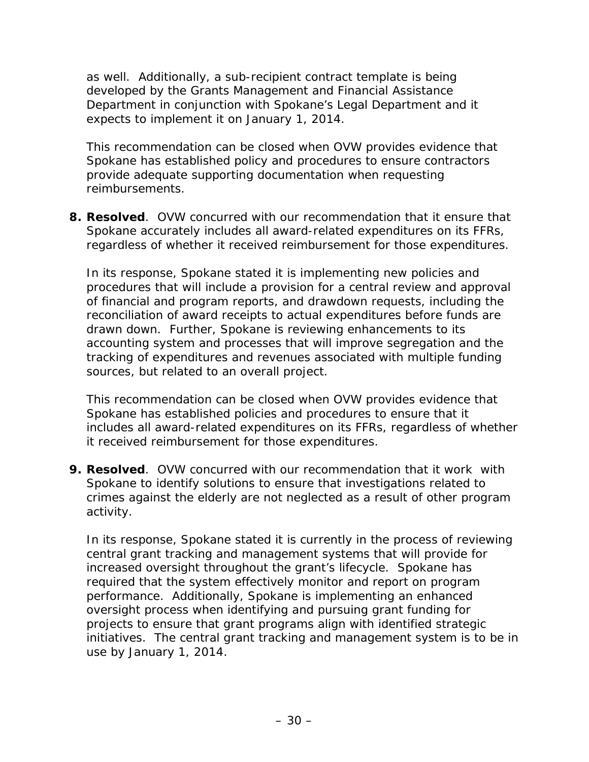as well. Additionally, a sub-recipient contract template is being developed by the Grants Management and Financial Assistance Department in conjunction with Spokane's Legal Department and it expects to implement it on January 1, 2014.

This recommendation can be closed when OVW provides evidence that Spokane has established policy and procedures to ensure contractors provide adequate supporting documentation when requesting reimbursements.

 **8. Resolved**. OVW concurred with our recommendation that it ensure that Spokane accurately includes all award-related expenditures on its FFRs, regardless of whether it received reimbursement for those expenditures.

 drawn down. Further, Spokane is reviewing enhancements to its accounting system and processes that will improve segregation and the In its response, Spokane stated it is implementing new policies and procedures that will include a provision for a central review and approval of financial and program reports, and drawdown requests, including the reconciliation of award receipts to actual expenditures before funds are tracking of expenditures and revenues associated with multiple funding sources, but related to an overall project.

 Spokane has established policies and procedures to ensure that it This recommendation can be closed when OVW provides evidence that includes all award-related expenditures on its FFRs, regardless of whether it received reimbursement for those expenditures.

 **9. Resolved**. OVW concurred with our recommendation that it work with Spokane to identify solutions to ensure that investigations related to crimes against the elderly are not neglected as a result of other program activity.

 projects to ensure that grant programs align with identified strategic In its response, Spokane stated it is currently in the process of reviewing central grant tracking and management systems that will provide for increased oversight throughout the grant's lifecycle. Spokane has required that the system effectively monitor and report on program performance. Additionally, Spokane is implementing an enhanced oversight process when identifying and pursuing grant funding for initiatives. The central grant tracking and management system is to be in use by January 1, 2014.